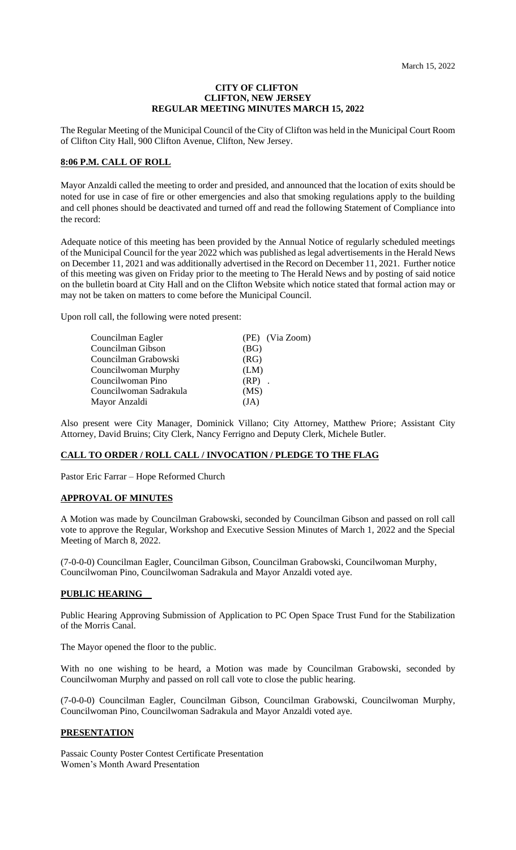### **CITY OF CLIFTON CLIFTON, NEW JERSEY REGULAR MEETING MINUTES MARCH 15, 2022**

The Regular Meeting of the Municipal Council of the City of Clifton was held in the Municipal Court Room of Clifton City Hall, 900 Clifton Avenue, Clifton, New Jersey.

## **8:06 P.M. CALL OF ROLL**

Mayor Anzaldi called the meeting to order and presided, and announced that the location of exits should be noted for use in case of fire or other emergencies and also that smoking regulations apply to the building and cell phones should be deactivated and turned off and read the following Statement of Compliance into the record:

Adequate notice of this meeting has been provided by the Annual Notice of regularly scheduled meetings of the Municipal Council for the year 2022 which was published as legal advertisements in the Herald News on December 11, 2021 and was additionally advertised in the Record on December 11, 2021. Further notice of this meeting was given on Friday prior to the meeting to The Herald News and by posting of said notice on the bulletin board at City Hall and on the Clifton Website which notice stated that formal action may or may not be taken on matters to come before the Municipal Council.

Upon roll call, the following were noted present:

| Councilman Eagler      | (PE) (Via Zoom) |
|------------------------|-----------------|
| Councilman Gibson      | (BG)            |
| Councilman Grabowski   | (RG)            |
| Councilwoman Murphy    | (LM)            |
| Councilwoman Pino      | $(RP)$ .        |
| Councilwoman Sadrakula | (MS)            |
| Mayor Anzaldi          | (JA)            |

Also present were City Manager, Dominick Villano; City Attorney, Matthew Priore; Assistant City Attorney, David Bruins; City Clerk, Nancy Ferrigno and Deputy Clerk, Michele Butler.

# **CALL TO ORDER / ROLL CALL / INVOCATION / PLEDGE TO THE FLAG**

Pastor Eric Farrar – Hope Reformed Church

### **APPROVAL OF MINUTES**

A Motion was made by Councilman Grabowski, seconded by Councilman Gibson and passed on roll call vote to approve the Regular, Workshop and Executive Session Minutes of March 1, 2022 and the Special Meeting of March 8, 2022.

(7-0-0-0) Councilman Eagler, Councilman Gibson, Councilman Grabowski, Councilwoman Murphy, Councilwoman Pino, Councilwoman Sadrakula and Mayor Anzaldi voted aye.

## **PUBLIC HEARING**

Public Hearing Approving Submission of Application to PC Open Space Trust Fund for the Stabilization of the Morris Canal.

The Mayor opened the floor to the public.

With no one wishing to be heard, a Motion was made by Councilman Grabowski, seconded by Councilwoman Murphy and passed on roll call vote to close the public hearing.

(7-0-0-0) Councilman Eagler, Councilman Gibson, Councilman Grabowski, Councilwoman Murphy, Councilwoman Pino, Councilwoman Sadrakula and Mayor Anzaldi voted aye.

## **PRESENTATION**

Passaic County Poster Contest Certificate Presentation Women's Month Award Presentation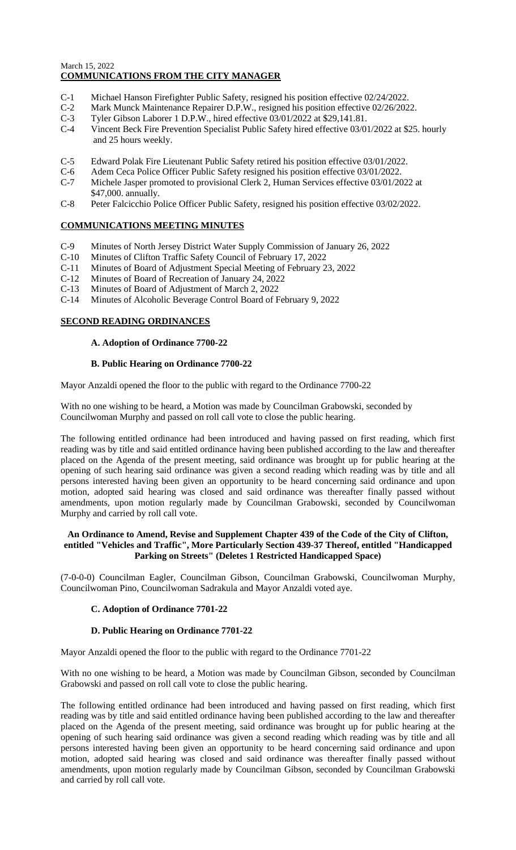# March 15, 2022 **COMMUNICATIONS FROM THE CITY MANAGER**

- 
- C-1 Michael Hanson Firefighter Public Safety, resigned his position effective 02/24/2022.<br>C-2 Mark Munck Maintenance Repairer D.P.W., resigned his position effective 02/26/202<br>C-3 Tyler Gibson Laborer 1 D.P.W., hired effec Mark Munck Maintenance Repairer D.P.W., resigned his position effective 02/26/2022.
- C-3 Tyler Gibson Laborer 1 D.P.W., hired effective 03/01/2022 at \$29,141.81.<br>C-4 Vincent Beck Fire Prevention Specialist Public Safety hired effective 03/0
- Vincent Beck Fire Prevention Specialist Public Safety hired effective 03/01/2022 at \$25. hourly and 25 hours weekly.
- C-5 Edward Polak Fire Lieutenant Public Safety retired his position effective 03/01/2022.
- C-6 Adem Ceca Police Officer Public Safety resigned his position effective 03/01/2022.
- C-7 Michele Jasper promoted to provisional Clerk 2, Human Services effective 03/01/2022 at \$47,000. annually.
- C-8 Peter Falcicchio Police Officer Public Safety, resigned his position effective 03/02/2022.

## **COMMUNICATIONS MEETING MINUTES**

- C-9 Minutes of North Jersey District Water Supply Commission of January 26, 2022
- C-10 Minutes of Clifton Traffic Safety Council of February 17, 2022
- C-11 Minutes of Board of Adjustment Special Meeting of February 23, 2022
- C-12 Minutes of Board of Recreation of January 24, 2022
- C-13 Minutes of Board of Adjustment of March 2, 2022
- C-14 Minutes of Alcoholic Beverage Control Board of February 9, 2022

### **SECOND READING ORDINANCES**

## **A. Adoption of Ordinance 7700-22**

### **B. Public Hearing on Ordinance 7700-22**

Mayor Anzaldi opened the floor to the public with regard to the Ordinance 7700-22

With no one wishing to be heard, a Motion was made by Councilman Grabowski, seconded by Councilwoman Murphy and passed on roll call vote to close the public hearing.

The following entitled ordinance had been introduced and having passed on first reading, which first reading was by title and said entitled ordinance having been published according to the law and thereafter placed on the Agenda of the present meeting, said ordinance was brought up for public hearing at the opening of such hearing said ordinance was given a second reading which reading was by title and all persons interested having been given an opportunity to be heard concerning said ordinance and upon motion, adopted said hearing was closed and said ordinance was thereafter finally passed without amendments, upon motion regularly made by Councilman Grabowski, seconded by Councilwoman Murphy and carried by roll call vote.

## **An Ordinance to Amend, Revise and Supplement Chapter 439 of the Code of the City of Clifton, entitled "Vehicles and Traffic", More Particularly Section 439-37 Thereof, entitled "Handicapped Parking on Streets" (Deletes 1 Restricted Handicapped Space)**

(7-0-0-0) Councilman Eagler, Councilman Gibson, Councilman Grabowski, Councilwoman Murphy, Councilwoman Pino, Councilwoman Sadrakula and Mayor Anzaldi voted aye.

## **C. Adoption of Ordinance 7701-22**

## **D. Public Hearing on Ordinance 7701-22**

Mayor Anzaldi opened the floor to the public with regard to the Ordinance 7701-22

With no one wishing to be heard, a Motion was made by Councilman Gibson, seconded by Councilman Grabowski and passed on roll call vote to close the public hearing.

The following entitled ordinance had been introduced and having passed on first reading, which first reading was by title and said entitled ordinance having been published according to the law and thereafter placed on the Agenda of the present meeting, said ordinance was brought up for public hearing at the opening of such hearing said ordinance was given a second reading which reading was by title and all persons interested having been given an opportunity to be heard concerning said ordinance and upon motion, adopted said hearing was closed and said ordinance was thereafter finally passed without amendments, upon motion regularly made by Councilman Gibson, seconded by Councilman Grabowski and carried by roll call vote.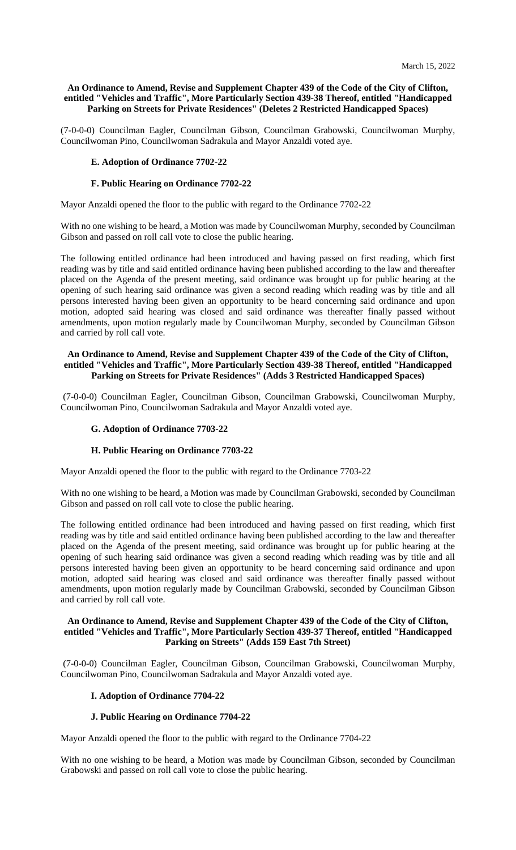## **An Ordinance to Amend, Revise and Supplement Chapter 439 of the Code of the City of Clifton, entitled "Vehicles and Traffic", More Particularly Section 439-38 Thereof, entitled "Handicapped Parking on Streets for Private Residences" (Deletes 2 Restricted Handicapped Spaces)**

(7-0-0-0) Councilman Eagler, Councilman Gibson, Councilman Grabowski, Councilwoman Murphy, Councilwoman Pino, Councilwoman Sadrakula and Mayor Anzaldi voted aye.

## **E. Adoption of Ordinance 7702-22**

### **F. Public Hearing on Ordinance 7702-22**

Mayor Anzaldi opened the floor to the public with regard to the Ordinance 7702-22

With no one wishing to be heard, a Motion was made by Councilwoman Murphy, seconded by Councilman Gibson and passed on roll call vote to close the public hearing.

The following entitled ordinance had been introduced and having passed on first reading, which first reading was by title and said entitled ordinance having been published according to the law and thereafter placed on the Agenda of the present meeting, said ordinance was brought up for public hearing at the opening of such hearing said ordinance was given a second reading which reading was by title and all persons interested having been given an opportunity to be heard concerning said ordinance and upon motion, adopted said hearing was closed and said ordinance was thereafter finally passed without amendments, upon motion regularly made by Councilwoman Murphy, seconded by Councilman Gibson and carried by roll call vote.

## **An Ordinance to Amend, Revise and Supplement Chapter 439 of the Code of the City of Clifton, entitled "Vehicles and Traffic", More Particularly Section 439-38 Thereof, entitled "Handicapped Parking on Streets for Private Residences" (Adds 3 Restricted Handicapped Spaces)**

(7-0-0-0) Councilman Eagler, Councilman Gibson, Councilman Grabowski, Councilwoman Murphy, Councilwoman Pino, Councilwoman Sadrakula and Mayor Anzaldi voted aye.

# **G. Adoption of Ordinance 7703-22**

#### **H. Public Hearing on Ordinance 7703-22**

Mayor Anzaldi opened the floor to the public with regard to the Ordinance 7703-22

With no one wishing to be heard, a Motion was made by Councilman Grabowski, seconded by Councilman Gibson and passed on roll call vote to close the public hearing.

The following entitled ordinance had been introduced and having passed on first reading, which first reading was by title and said entitled ordinance having been published according to the law and thereafter placed on the Agenda of the present meeting, said ordinance was brought up for public hearing at the opening of such hearing said ordinance was given a second reading which reading was by title and all persons interested having been given an opportunity to be heard concerning said ordinance and upon motion, adopted said hearing was closed and said ordinance was thereafter finally passed without amendments, upon motion regularly made by Councilman Grabowski, seconded by Councilman Gibson and carried by roll call vote.

### **An Ordinance to Amend, Revise and Supplement Chapter 439 of the Code of the City of Clifton, entitled "Vehicles and Traffic", More Particularly Section 439-37 Thereof, entitled "Handicapped Parking on Streets" (Adds 159 East 7th Street)**

(7-0-0-0) Councilman Eagler, Councilman Gibson, Councilman Grabowski, Councilwoman Murphy, Councilwoman Pino, Councilwoman Sadrakula and Mayor Anzaldi voted aye.

## **I. Adoption of Ordinance 7704-22**

#### **J. Public Hearing on Ordinance 7704-22**

Mayor Anzaldi opened the floor to the public with regard to the Ordinance 7704-22

With no one wishing to be heard, a Motion was made by Councilman Gibson, seconded by Councilman Grabowski and passed on roll call vote to close the public hearing.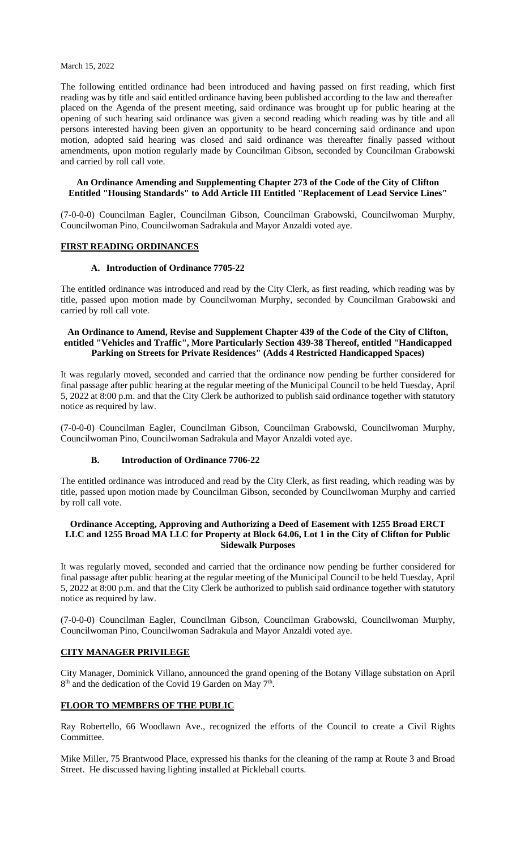The following entitled ordinance had been introduced and having passed on first reading, which first reading was by title and said entitled ordinance having been published according to the law and thereafter placed on the Agenda of the present meeting, said ordinance was brought up for public hearing at the opening of such hearing said ordinance was given a second reading which reading was by title and all persons interested having been given an opportunity to be heard concerning said ordinance and upon motion, adopted said hearing was closed and said ordinance was thereafter finally passed without amendments, upon motion regularly made by Councilman Gibson, seconded by Councilman Grabowski and carried by roll call vote.

### **An Ordinance Amending and Supplementing Chapter 273 of the Code of the City of Clifton Entitled "Housing Standards" to Add Article III Entitled "Replacement of Lead Service Lines"**

(7-0-0-0) Councilman Eagler, Councilman Gibson, Councilman Grabowski, Councilwoman Murphy, Councilwoman Pino, Councilwoman Sadrakula and Mayor Anzaldi voted aye.

## **FIRST READING ORDINANCES**

## **A. Introduction of Ordinance 7705-22**

The entitled ordinance was introduced and read by the City Clerk, as first reading, which reading was by title, passed upon motion made by Councilwoman Murphy, seconded by Councilman Grabowski and carried by roll call vote.

## **An Ordinance to Amend, Revise and Supplement Chapter 439 of the Code of the City of Clifton, entitled "Vehicles and Traffic", More Particularly Section 439-38 Thereof, entitled "Handicapped Parking on Streets for Private Residences" (Adds 4 Restricted Handicapped Spaces)**

It was regularly moved, seconded and carried that the ordinance now pending be further considered for final passage after public hearing at the regular meeting of the Municipal Council to be held Tuesday, April 5, 2022 at 8:00 p.m. and that the City Clerk be authorized to publish said ordinance together with statutory notice as required by law.

(7-0-0-0) Councilman Eagler, Councilman Gibson, Councilman Grabowski, Councilwoman Murphy, Councilwoman Pino, Councilwoman Sadrakula and Mayor Anzaldi voted aye.

## **B. Introduction of Ordinance 7706-22**

The entitled ordinance was introduced and read by the City Clerk, as first reading, which reading was by title, passed upon motion made by Councilman Gibson, seconded by Councilwoman Murphy and carried by roll call vote.

## **Ordinance Accepting, Approving and Authorizing a Deed of Easement with 1255 Broad ERCT LLC and 1255 Broad MA LLC for Property at Block 64.06, Lot 1 in the City of Clifton for Public Sidewalk Purposes**

It was regularly moved, seconded and carried that the ordinance now pending be further considered for final passage after public hearing at the regular meeting of the Municipal Council to be held Tuesday, April 5, 2022 at 8:00 p.m. and that the City Clerk be authorized to publish said ordinance together with statutory notice as required by law.

(7-0-0-0) Councilman Eagler, Councilman Gibson, Councilman Grabowski, Councilwoman Murphy, Councilwoman Pino, Councilwoman Sadrakula and Mayor Anzaldi voted aye.

## **CITY MANAGER PRIVILEGE**

City Manager, Dominick Villano, announced the grand opening of the Botany Village substation on April 8<sup>th</sup> and the dedication of the Covid 19 Garden on May 7<sup>th</sup>.

## **FLOOR TO MEMBERS OF THE PUBLIC**

Ray Robertello, 66 Woodlawn Ave., recognized the efforts of the Council to create a Civil Rights Committee.

Mike Miller, 75 Brantwood Place, expressed his thanks for the cleaning of the ramp at Route 3 and Broad Street. He discussed having lighting installed at Pickleball courts.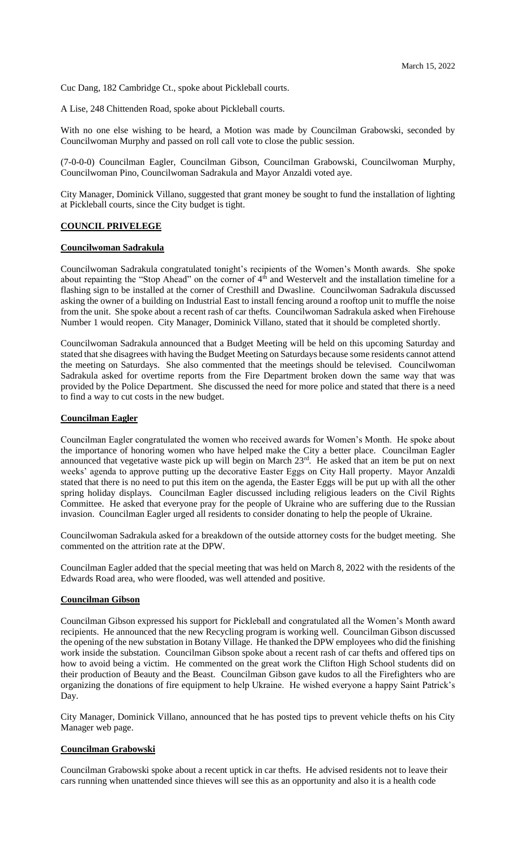Cuc Dang, 182 Cambridge Ct., spoke about Pickleball courts.

A Lise, 248 Chittenden Road, spoke about Pickleball courts.

With no one else wishing to be heard, a Motion was made by Councilman Grabowski, seconded by Councilwoman Murphy and passed on roll call vote to close the public session.

(7-0-0-0) Councilman Eagler, Councilman Gibson, Councilman Grabowski, Councilwoman Murphy, Councilwoman Pino, Councilwoman Sadrakula and Mayor Anzaldi voted aye.

City Manager, Dominick Villano, suggested that grant money be sought to fund the installation of lighting at Pickleball courts, since the City budget is tight.

### **COUNCIL PRIVELEGE**

#### **Councilwoman Sadrakula**

Councilwoman Sadrakula congratulated tonight's recipients of the Women's Month awards. She spoke about repainting the "Stop Ahead" on the corner of 4<sup>th</sup> and Westervelt and the installation timeline for a flashing sign to be installed at the corner of Cresthill and Dwasline. Councilwoman Sadrakula discussed asking the owner of a building on Industrial East to install fencing around a rooftop unit to muffle the noise from the unit. She spoke about a recent rash of car thefts. Councilwoman Sadrakula asked when Firehouse Number 1 would reopen. City Manager, Dominick Villano, stated that it should be completed shortly.

Councilwoman Sadrakula announced that a Budget Meeting will be held on this upcoming Saturday and stated that she disagrees with having the Budget Meeting on Saturdays because some residents cannot attend the meeting on Saturdays. She also commented that the meetings should be televised. Councilwoman Sadrakula asked for overtime reports from the Fire Department broken down the same way that was provided by the Police Department. She discussed the need for more police and stated that there is a need to find a way to cut costs in the new budget.

### **Councilman Eagler**

Councilman Eagler congratulated the women who received awards for Women's Month. He spoke about the importance of honoring women who have helped make the City a better place. Councilman Eagler announced that vegetative waste pick up will begin on March 23rd. He asked that an item be put on next weeks' agenda to approve putting up the decorative Easter Eggs on City Hall property. Mayor Anzaldi stated that there is no need to put this item on the agenda, the Easter Eggs will be put up with all the other spring holiday displays. Councilman Eagler discussed including religious leaders on the Civil Rights Committee. He asked that everyone pray for the people of Ukraine who are suffering due to the Russian invasion. Councilman Eagler urged all residents to consider donating to help the people of Ukraine.

Councilwoman Sadrakula asked for a breakdown of the outside attorney costs for the budget meeting. She commented on the attrition rate at the DPW.

Councilman Eagler added that the special meeting that was held on March 8, 2022 with the residents of the Edwards Road area, who were flooded, was well attended and positive.

### **Councilman Gibson**

Councilman Gibson expressed his support for Pickleball and congratulated all the Women's Month award recipients. He announced that the new Recycling program is working well. Councilman Gibson discussed the opening of the new substation in Botany Village. He thanked the DPW employees who did the finishing work inside the substation. Councilman Gibson spoke about a recent rash of car thefts and offered tips on how to avoid being a victim. He commented on the great work the Clifton High School students did on their production of Beauty and the Beast. Councilman Gibson gave kudos to all the Firefighters who are organizing the donations of fire equipment to help Ukraine. He wished everyone a happy Saint Patrick's Day.

City Manager, Dominick Villano, announced that he has posted tips to prevent vehicle thefts on his City Manager web page.

## **Councilman Grabowski**

Councilman Grabowski spoke about a recent uptick in car thefts. He advised residents not to leave their cars running when unattended since thieves will see this as an opportunity and also it is a health code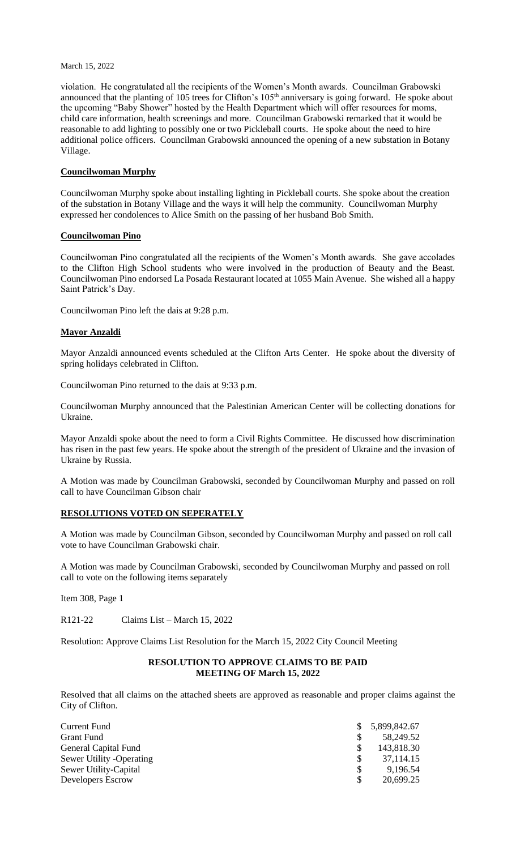violation. He congratulated all the recipients of the Women's Month awards. Councilman Grabowski announced that the planting of 105 trees for Clifton's 105<sup>th</sup> anniversary is going forward. He spoke about the upcoming "Baby Shower" hosted by the Health Department which will offer resources for moms, child care information, health screenings and more. Councilman Grabowski remarked that it would be reasonable to add lighting to possibly one or two Pickleball courts. He spoke about the need to hire additional police officers. Councilman Grabowski announced the opening of a new substation in Botany Village.

## **Councilwoman Murphy**

Councilwoman Murphy spoke about installing lighting in Pickleball courts. She spoke about the creation of the substation in Botany Village and the ways it will help the community. Councilwoman Murphy expressed her condolences to Alice Smith on the passing of her husband Bob Smith.

### **Councilwoman Pino**

Councilwoman Pino congratulated all the recipients of the Women's Month awards. She gave accolades to the Clifton High School students who were involved in the production of Beauty and the Beast. Councilwoman Pino endorsed La Posada Restaurant located at 1055 Main Avenue. She wished all a happy Saint Patrick's Day.

Councilwoman Pino left the dais at 9:28 p.m.

### **Mayor Anzaldi**

Mayor Anzaldi announced events scheduled at the Clifton Arts Center. He spoke about the diversity of spring holidays celebrated in Clifton.

Councilwoman Pino returned to the dais at 9:33 p.m.

Councilwoman Murphy announced that the Palestinian American Center will be collecting donations for Ukraine.

Mayor Anzaldi spoke about the need to form a Civil Rights Committee. He discussed how discrimination has risen in the past few years. He spoke about the strength of the president of Ukraine and the invasion of Ukraine by Russia.

A Motion was made by Councilman Grabowski, seconded by Councilwoman Murphy and passed on roll call to have Councilman Gibson chair

## **RESOLUTIONS VOTED ON SEPERATELY**

A Motion was made by Councilman Gibson, seconded by Councilwoman Murphy and passed on roll call vote to have Councilman Grabowski chair.

A Motion was made by Councilman Grabowski, seconded by Councilwoman Murphy and passed on roll call to vote on the following items separately

Item 308, Page 1

R121-22 Claims List – March 15, 2022

Resolution: Approve Claims List Resolution for the March 15, 2022 City Council Meeting

## **RESOLUTION TO APPROVE CLAIMS TO BE PAID MEETING OF March 15, 2022**

Resolved that all claims on the attached sheets are approved as reasonable and proper claims against the City of Clifton.

| Current Fund             |              | 5,899,842.67 |
|--------------------------|--------------|--------------|
| <b>Grant Fund</b>        |              | 58,249.52    |
| General Capital Fund     |              | 143,818.30   |
| Sewer Utility -Operating |              | 37,114.15    |
| Sewer Utility-Capital    | \$.          | 9.196.54     |
| Developers Escrow        | <sup>S</sup> | 20,699.25    |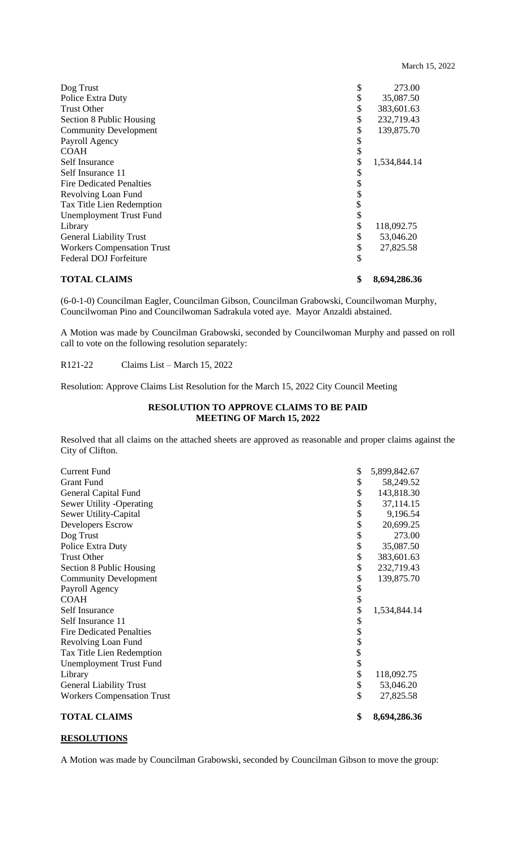| <b>TOTAL CLAIMS</b>               | \$<br>8,694,286.36 |
|-----------------------------------|--------------------|
| <b>Federal DOJ Forfeiture</b>     | \$                 |
| <b>Workers Compensation Trust</b> | \$<br>27,825.58    |
| <b>General Liability Trust</b>    | \$<br>53,046.20    |
| Library                           | \$<br>118,092.75   |
| <b>Unemployment Trust Fund</b>    | \$                 |
| Tax Title Lien Redemption         | \$                 |
| Revolving Loan Fund               | \$                 |
| <b>Fire Dedicated Penalties</b>   | \$                 |
| Self Insurance 11                 | \$                 |
| Self Insurance                    | \$<br>1,534,844.14 |
| <b>COAH</b>                       | \$                 |
| Payroll Agency                    | \$                 |
| <b>Community Development</b>      | \$<br>139,875.70   |
| Section 8 Public Housing          | \$<br>232,719.43   |
| <b>Trust Other</b>                | \$<br>383,601.63   |
| Police Extra Duty                 | \$<br>35,087.50    |
| Dog Trust                         | \$<br>273.00       |

(6-0-1-0) Councilman Eagler, Councilman Gibson, Councilman Grabowski, Councilwoman Murphy, Councilwoman Pino and Councilwoman Sadrakula voted aye. Mayor Anzaldi abstained.

A Motion was made by Councilman Grabowski, seconded by Councilwoman Murphy and passed on roll call to vote on the following resolution separately:

R121-22 Claims List – March 15, 2022

Resolution: Approve Claims List Resolution for the March 15, 2022 City Council Meeting

# **RESOLUTION TO APPROVE CLAIMS TO BE PAID MEETING OF March 15, 2022**

Resolved that all claims on the attached sheets are approved as reasonable and proper claims against the City of Clifton.

| <b>TOTAL CLAIMS</b>               | \$<br>8,694,286.36 |
|-----------------------------------|--------------------|
| <b>Workers Compensation Trust</b> | \$<br>27,825.58    |
| <b>General Liability Trust</b>    | \$<br>53,046.20    |
| Library                           | \$<br>118,092.75   |
| <b>Unemployment Trust Fund</b>    |                    |
| Tax Title Lien Redemption         |                    |
| Revolving Loan Fund               |                    |
| <b>Fire Dedicated Penalties</b>   |                    |
| Self Insurance 11                 |                    |
| Self Insurance                    | \$<br>1,534,844.14 |
| <b>COAH</b>                       | \$                 |
| Payroll Agency                    |                    |
| <b>Community Development</b>      | \$<br>139,875.70   |
| Section 8 Public Housing          | \$<br>232,719.43   |
| <b>Trust Other</b>                | \$<br>383,601.63   |
| Police Extra Duty                 | \$<br>35,087.50    |
| Dog Trust                         | \$<br>273.00       |
| Developers Escrow                 | \$<br>20,699.25    |
| Sewer Utility-Capital             | 9,196.54           |
| Sewer Utility -Operating          | 37,114.15          |
| General Capital Fund              | 143,818.30         |
| <b>Grant Fund</b>                 | 58,249.52          |
| <b>Current Fund</b>               | \$<br>5,899,842.67 |

# **RESOLUTIONS**

A Motion was made by Councilman Grabowski, seconded by Councilman Gibson to move the group: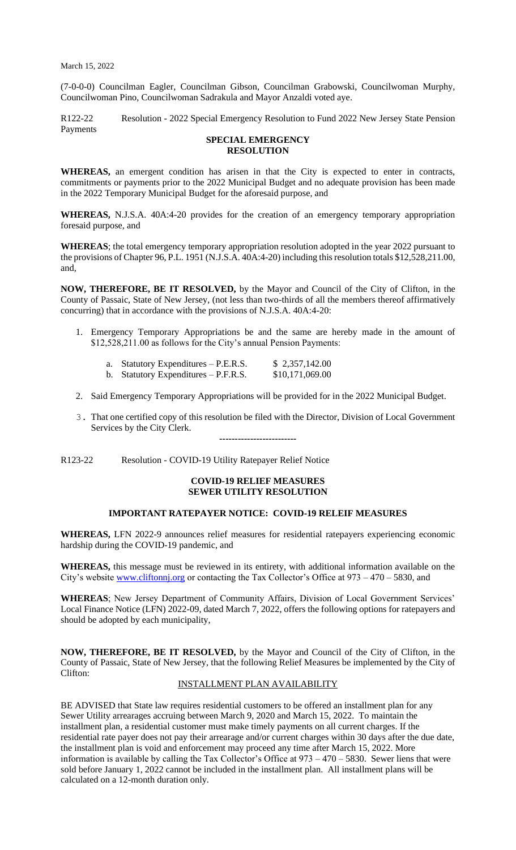(7-0-0-0) Councilman Eagler, Councilman Gibson, Councilman Grabowski, Councilwoman Murphy, Councilwoman Pino, Councilwoman Sadrakula and Mayor Anzaldi voted aye.

R122-22 Resolution - 2022 Special Emergency Resolution to Fund 2022 New Jersey State Pension Payments

## **SPECIAL EMERGENCY RESOLUTION**

**WHEREAS,** an emergent condition has arisen in that the City is expected to enter in contracts, commitments or payments prior to the 2022 Municipal Budget and no adequate provision has been made in the 2022 Temporary Municipal Budget for the aforesaid purpose, and

**WHEREAS,** N.J.S.A. 40A:4-20 provides for the creation of an emergency temporary appropriation foresaid purpose, and

**WHEREAS**; the total emergency temporary appropriation resolution adopted in the year 2022 pursuant to the provisions of Chapter 96, P.L. 1951 (N.J.S.A. 40A:4-20) including this resolution totals \$12,528,211.00, and,

**NOW, THEREFORE, BE IT RESOLVED,** by the Mayor and Council of the City of Clifton, in the County of Passaic, State of New Jersey, (not less than two-thirds of all the members thereof affirmatively concurring) that in accordance with the provisions of N.J.S.A. 40A:4-20:

1. Emergency Temporary Appropriations be and the same are hereby made in the amount of \$12,528,211.00 as follows for the City's annual Pension Payments:

| a. Statutory Expenditures – P.E.R.S.   | \$2,357,142.00  |
|----------------------------------------|-----------------|
| b. Statutory Expenditures $-$ P.F.R.S. | \$10,171,069.00 |

- 2. Said Emergency Temporary Appropriations will be provided for in the 2022 Municipal Budget.
- 3. That one certified copy of this resolution be filed with the Director, Division of Local Government Services by the City Clerk. **-------------------------**

R123-22 Resolution - COVID-19 Utility Ratepayer Relief Notice

### **COVID-19 RELIEF MEASURES SEWER UTILITY RESOLUTION**

# **IMPORTANT RATEPAYER NOTICE: COVID-19 RELEIF MEASURES**

**WHEREAS,** LFN 2022-9 announces relief measures for residential ratepayers experiencing economic hardship during the COVID-19 pandemic, and

**WHEREAS,** this message must be reviewed in its entirety, with additional information available on the City's website [www.cliftonnj.org](http://www.cliftonnj.org/) or contacting the Tax Collector's Office at 973 – 470 – 5830, and

**WHEREAS**; New Jersey Department of Community Affairs, Division of Local Government Services' Local Finance Notice (LFN) 2022-09, dated March 7, 2022, offers the following options for ratepayers and should be adopted by each municipality,

**NOW, THEREFORE, BE IT RESOLVED,** by the Mayor and Council of the City of Clifton, in the County of Passaic, State of New Jersey, that the following Relief Measures be implemented by the City of Clifton:

## INSTALLMENT PLAN AVAILABILITY

BE ADVISED that State law requires residential customers to be offered an installment plan for any Sewer Utility arrearages accruing between March 9, 2020 and March 15, 2022. To maintain the installment plan, a residential customer must make timely payments on all current charges. If the residential rate payer does not pay their arrearage and/or current charges within 30 days after the due date, the installment plan is void and enforcement may proceed any time after March 15, 2022. More information is available by calling the Tax Collector's Office at 973 – 470 – 5830. Sewer liens that were sold before January 1, 2022 cannot be included in the installment plan. All installment plans will be calculated on a 12-month duration only.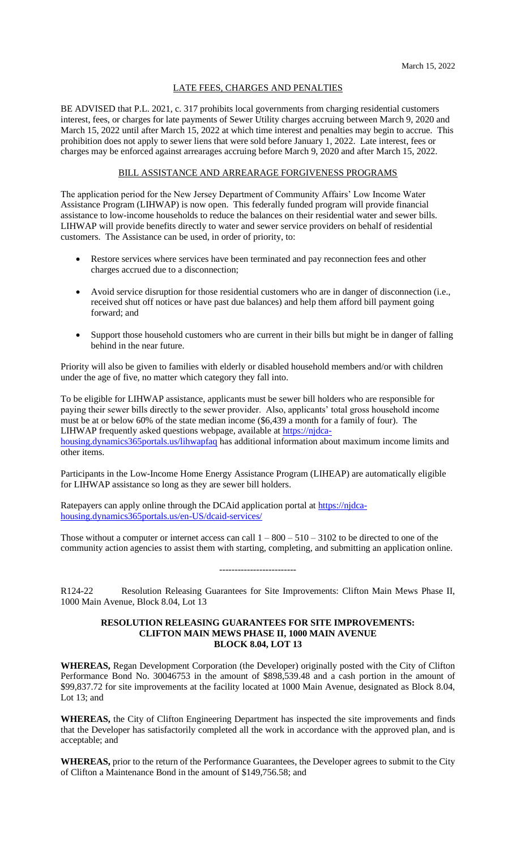### LATE FEES, CHARGES AND PENALTIES

BE ADVISED that P.L. 2021, c. 317 prohibits local governments from charging residential customers interest, fees, or charges for late payments of Sewer Utility charges accruing between March 9, 2020 and March 15, 2022 until after March 15, 2022 at which time interest and penalties may begin to accrue. This prohibition does not apply to sewer liens that were sold before January 1, 2022. Late interest, fees or charges may be enforced against arrearages accruing before March 9, 2020 and after March 15, 2022.

## BILL ASSISTANCE AND ARREARAGE FORGIVENESS PROGRAMS

The application period for the New Jersey Department of Community Affairs' Low Income Water Assistance Program (LIHWAP) is now open. This federally funded program will provide financial assistance to low-income households to reduce the balances on their residential water and sewer bills. LIHWAP will provide benefits directly to water and sewer service providers on behalf of residential customers. The Assistance can be used, in order of priority, to:

- Restore services where services have been terminated and pay reconnection fees and other charges accrued due to a disconnection;
- Avoid service disruption for those residential customers who are in danger of disconnection (i.e., received shut off notices or have past due balances) and help them afford bill payment going forward; and
- Support those household customers who are current in their bills but might be in danger of falling behind in the near future.

Priority will also be given to families with elderly or disabled household members and/or with children under the age of five, no matter which category they fall into.

To be eligible for LIHWAP assistance, applicants must be sewer bill holders who are responsible for paying their sewer bills directly to the sewer provider. Also, applicants' total gross household income must be at or below 60% of the state median income (\$6,439 a month for a family of four). The LIHWAP frequently asked questions webpage, available at [https://njdca-](https://njdca-housing.dynamics365portals.us/lihwapfaq)

[housing.dynamics365portals.us/lihwapfaq](https://njdca-housing.dynamics365portals.us/lihwapfaq) has additional information about maximum income limits and other items.

Participants in the Low-Income Home Energy Assistance Program (LIHEAP) are automatically eligible for LIHWAP assistance so long as they are sewer bill holders.

Ratepayers can apply online through the DCAid application portal at [https://njdca](https://njdca-housing.dynamics365portals.us/en-US/dcaid-services/)[housing.dynamics365portals.us/en-US/dcaid-services/](https://njdca-housing.dynamics365portals.us/en-US/dcaid-services/)

Those without a computer or internet access can call  $1 - 800 - 510 - 3102$  to be directed to one of the community action agencies to assist them with starting, completing, and submitting an application online.

-------------------------

R124-22 Resolution Releasing Guarantees for Site Improvements: Clifton Main Mews Phase II, 1000 Main Avenue, Block 8.04, Lot 13

## **RESOLUTION RELEASING GUARANTEES FOR SITE IMPROVEMENTS: CLIFTON MAIN MEWS PHASE II, 1000 MAIN AVENUE BLOCK 8.04, LOT 13**

**WHEREAS,** Regan Development Corporation (the Developer) originally posted with the City of Clifton Performance Bond No. 30046753 in the amount of \$898,539.48 and a cash portion in the amount of \$99,837.72 for site improvements at the facility located at 1000 Main Avenue, designated as Block 8.04, Lot 13; and

**WHEREAS,** the City of Clifton Engineering Department has inspected the site improvements and finds that the Developer has satisfactorily completed all the work in accordance with the approved plan, and is acceptable; and

**WHEREAS,** prior to the return of the Performance Guarantees, the Developer agrees to submit to the City of Clifton a Maintenance Bond in the amount of \$149,756.58; and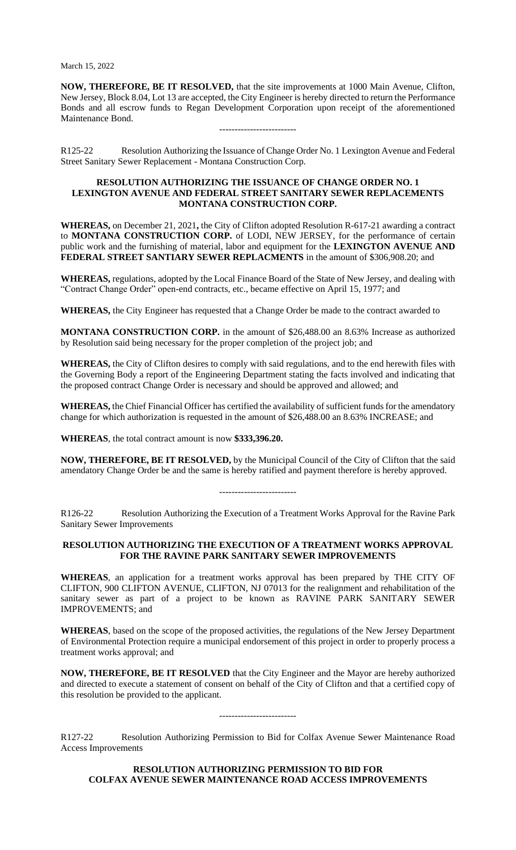**NOW, THEREFORE, BE IT RESOLVED,** that the site improvements at 1000 Main Avenue, Clifton, New Jersey, Block 8.04, Lot 13 are accepted, the City Engineer is hereby directed to return the Performance Bonds and all escrow funds to Regan Development Corporation upon receipt of the aforementioned Maintenance Bond.

R125-22 Resolution Authorizing the Issuance of Change Order No. 1 Lexington Avenue and Federal Street Sanitary Sewer Replacement - Montana Construction Corp.

-------------------------

### **RESOLUTION AUTHORIZING THE ISSUANCE OF CHANGE ORDER NO. 1 LEXINGTON AVENUE AND FEDERAL STREET SANITARY SEWER REPLACEMENTS MONTANA CONSTRUCTION CORP.**

**WHEREAS,** on December 21, 2021**,** the City of Clifton adopted Resolution R-617-21 awarding a contract to **MONTANA CONSTRUCTION CORP.** of LODI, NEW JERSEY, for the performance of certain public work and the furnishing of material, labor and equipment for the **LEXINGTON AVENUE AND FEDERAL STREET SANTIARY SEWER REPLACMENTS** in the amount of \$306,908.20; and

**WHEREAS,** regulations, adopted by the Local Finance Board of the State of New Jersey, and dealing with "Contract Change Order" open-end contracts, etc., became effective on April 15, 1977; and

**WHEREAS,** the City Engineer has requested that a Change Order be made to the contract awarded to

**MONTANA CONSTRUCTION CORP.** in the amount of \$26,488.00 an 8.63% Increase as authorized by Resolution said being necessary for the proper completion of the project job; and

**WHEREAS,** the City of Clifton desires to comply with said regulations, and to the end herewith files with the Governing Body a report of the Engineering Department stating the facts involved and indicating that the proposed contract Change Order is necessary and should be approved and allowed; and

**WHEREAS,** the Chief Financial Officer has certified the availability of sufficient funds for the amendatory change for which authorization is requested in the amount of \$26,488.00 an 8.63% INCREASE; and

**WHEREAS**, the total contract amount is now **\$333,396.20.**

**NOW, THEREFORE, BE IT RESOLVED,** by the Municipal Council of the City of Clifton that the said amendatory Change Order be and the same is hereby ratified and payment therefore is hereby approved.

-------------------------

R126-22 Resolution Authorizing the Execution of a Treatment Works Approval for the Ravine Park Sanitary Sewer Improvements

# **RESOLUTION AUTHORIZING THE EXECUTION OF A TREATMENT WORKS APPROVAL FOR THE RAVINE PARK SANITARY SEWER IMPROVEMENTS**

**WHEREAS**, an application for a treatment works approval has been prepared by THE CITY OF CLIFTON, 900 CLIFTON AVENUE, CLIFTON, NJ 07013 for the realignment and rehabilitation of the sanitary sewer as part of a project to be known as RAVINE PARK SANITARY SEWER IMPROVEMENTS; and

**WHEREAS**, based on the scope of the proposed activities, the regulations of the New Jersey Department of Environmental Protection require a municipal endorsement of this project in order to properly process a treatment works approval; and

**NOW, THEREFORE, BE IT RESOLVED** that the City Engineer and the Mayor are hereby authorized and directed to execute a statement of consent on behalf of the City of Clifton and that a certified copy of this resolution be provided to the applicant.

-------------------------

R127-22 Resolution Authorizing Permission to Bid for Colfax Avenue Sewer Maintenance Road Access Improvements

**RESOLUTION AUTHORIZING PERMISSION TO BID FOR COLFAX AVENUE SEWER MAINTENANCE ROAD ACCESS IMPROVEMENTS**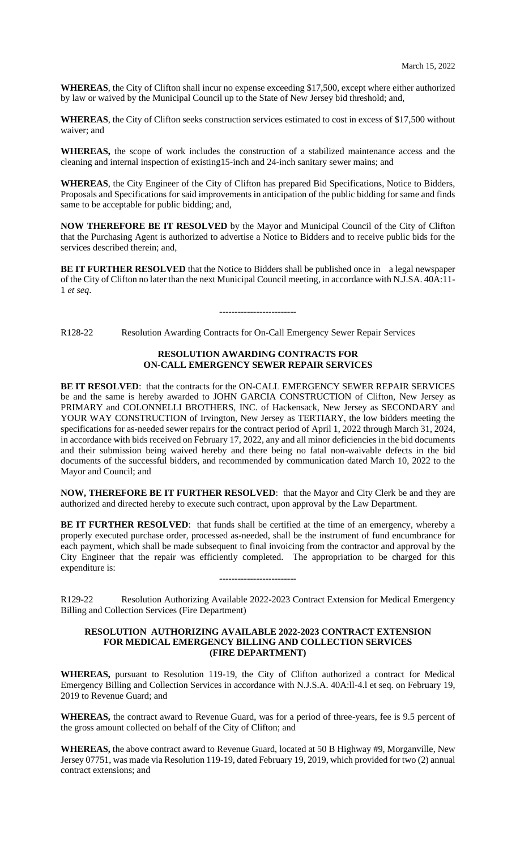**WHEREAS**, the City of Clifton shall incur no expense exceeding \$17,500, except where either authorized by law or waived by the Municipal Council up to the State of New Jersey bid threshold; and,

**WHEREAS**, the City of Clifton seeks construction services estimated to cost in excess of \$17,500 without waiver; and

**WHEREAS,** the scope of work includes the construction of a stabilized maintenance access and the cleaning and internal inspection of existing15-inch and 24-inch sanitary sewer mains; and

**WHEREAS**, the City Engineer of the City of Clifton has prepared Bid Specifications, Notice to Bidders, Proposals and Specifications for said improvements in anticipation of the public bidding for same and finds same to be acceptable for public bidding; and,

**NOW THEREFORE BE IT RESOLVED** by the Mayor and Municipal Council of the City of Clifton that the Purchasing Agent is authorized to advertise a Notice to Bidders and to receive public bids for the services described therein; and,

**BE IT FURTHER RESOLVED** that the Notice to Bidders shall be published once in a legal newspaper of the City of Clifton no later than the next Municipal Council meeting, in accordance with N.J.SA. 40A:11- 1 *et seq*.

-------------------------

R128-22 Resolution Awarding Contracts for On-Call Emergency Sewer Repair Services

### **RESOLUTION AWARDING CONTRACTS FOR ON-CALL EMERGENCY SEWER REPAIR SERVICES**

**BE IT RESOLVED**: that the contracts for the ON-CALL EMERGENCY SEWER REPAIR SERVICES be and the same is hereby awarded to JOHN GARCIA CONSTRUCTION of Clifton, New Jersey as PRIMARY and COLONNELLI BROTHERS, INC. of Hackensack, New Jersey as SECONDARY and YOUR WAY CONSTRUCTION of Irvington, New Jersey as TERTIARY, the low bidders meeting the specifications for as-needed sewer repairs for the contract period of April 1, 2022 through March 31, 2024, in accordance with bids received on February 17, 2022, any and all minor deficiencies in the bid documents and their submission being waived hereby and there being no fatal non-waivable defects in the bid documents of the successful bidders, and recommended by communication dated March 10, 2022 to the Mayor and Council; and

**NOW, THEREFORE BE IT FURTHER RESOLVED**: that the Mayor and City Clerk be and they are authorized and directed hereby to execute such contract, upon approval by the Law Department.

**BE IT FURTHER RESOLVED:** that funds shall be certified at the time of an emergency, whereby a properly executed purchase order, processed as-needed, shall be the instrument of fund encumbrance for each payment, which shall be made subsequent to final invoicing from the contractor and approval by the City Engineer that the repair was efficiently completed. The appropriation to be charged for this expenditure is:

R129-22 Resolution Authorizing Available 2022-2023 Contract Extension for Medical Emergency Billing and Collection Services (Fire Department)

-------------------------

### **RESOLUTION AUTHORIZING AVAILABLE 2022-2023 CONTRACT EXTENSION FOR MEDICAL EMERGENCY BILLING AND COLLECTION SERVICES (FIRE DEPARTMENT)**

**WHEREAS,** pursuant to Resolution 119-19, the City of Clifton authorized a contract for Medical Emergency Billing and Collection Services in accordance with N.J.S.A. 40A:ll-4.l et seq. on February 19, 2019 to Revenue Guard; and

**WHEREAS,** the contract award to Revenue Guard, was for a period of three-years, fee is 9.5 percent of the gross amount collected on behalf of the City of Clifton; and

**WHEREAS,** the above contract award to Revenue Guard, located at 50 B Highway #9, Morganville, New Jersey 07751, was made via Resolution 119-19, dated February 19, 2019, which provided for two (2) annual contract extensions; and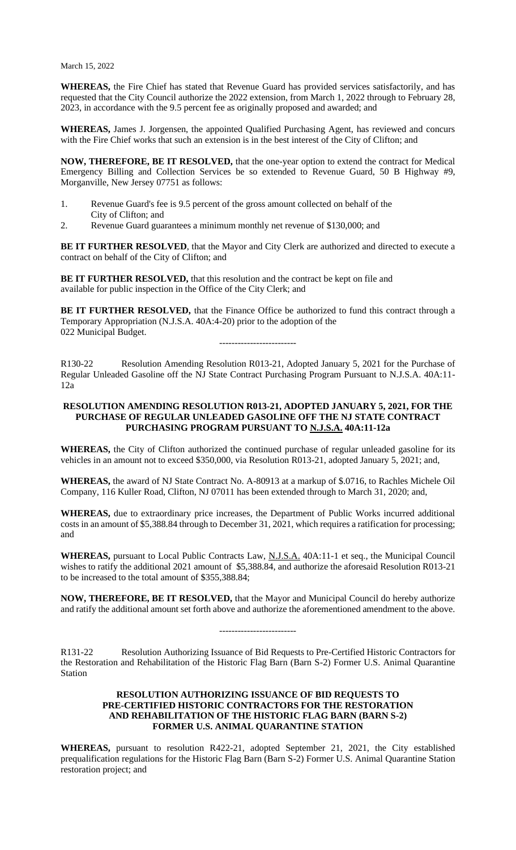**WHEREAS,** the Fire Chief has stated that Revenue Guard has provided services satisfactorily, and has requested that the City Council authorize the 2022 extension, from March 1, 2022 through to February 28, 2023, in accordance with the 9.5 percent fee as originally proposed and awarded; and

**WHEREAS,** James J. Jorgensen, the appointed Qualified Purchasing Agent, has reviewed and concurs with the Fire Chief works that such an extension is in the best interest of the City of Clifton; and

**NOW, THEREFORE, BE IT RESOLVED,** that the one-year option to extend the contract for Medical Emergency Billing and Collection Services be so extended to Revenue Guard, 50 B Highway #9, Morganville, New Jersey 07751 as follows:

- 1. Revenue Guard's fee is 9.5 percent of the gross amount collected on behalf of the City of Clifton; and
- 2. Revenue Guard guarantees a minimum monthly net revenue of \$130,000; and

**BE IT FURTHER RESOLVED**, that the Mayor and City Clerk are authorized and directed to execute a contract on behalf of the City of Clifton; and

**BE IT FURTHER RESOLVED,** that this resolution and the contract be kept on file and available for public inspection in the Office of the City Clerk; and

**BE IT FURTHER RESOLVED,** that the Finance Office be authorized to fund this contract through a Temporary Appropriation (N.J.S.A. 40A:4-20) prior to the adoption of the 022 Municipal Budget.

-------------------------

R130-22 Resolution Amending Resolution R013-21, Adopted January 5, 2021 for the Purchase of Regular Unleaded Gasoline off the NJ State Contract Purchasing Program Pursuant to N.J.S.A. 40A:11- 12a

## **RESOLUTION AMENDING RESOLUTION R013-21, ADOPTED JANUARY 5, 2021, FOR THE PURCHASE OF REGULAR UNLEADED GASOLINE OFF THE NJ STATE CONTRACT PURCHASING PROGRAM PURSUANT TO N.J.S.A. 40A:11-12a**

**WHEREAS,** the City of Clifton authorized the continued purchase of regular unleaded gasoline for its vehicles in an amount not to exceed \$350,000, via Resolution R013-21, adopted January 5, 2021; and,

**WHEREAS,** the award of NJ State Contract No. A-80913 at a markup of \$.0716, to Rachles Michele Oil Company, 116 Kuller Road, Clifton, NJ 07011 has been extended through to March 31, 2020; and,

**WHEREAS,** due to extraordinary price increases, the Department of Public Works incurred additional costs in an amount of \$5,388.84 through to December 31, 2021, which requires a ratification for processing; and

**WHEREAS,** pursuant to Local Public Contracts Law, N.J.S.A. 40A:11-1 et seq., the Municipal Council wishes to ratify the additional 2021 amount of \$5,388.84, and authorize the aforesaid Resolution R013-21 to be increased to the total amount of \$355,388.84;

**NOW, THEREFORE, BE IT RESOLVED,** that the Mayor and Municipal Council do hereby authorize and ratify the additional amount set forth above and authorize the aforementioned amendment to the above.

-------------------------

R131-22 Resolution Authorizing Issuance of Bid Requests to Pre-Certified Historic Contractors for the Restoration and Rehabilitation of the Historic Flag Barn (Barn S-2) Former U.S. Animal Quarantine Station

# **RESOLUTION AUTHORIZING ISSUANCE OF BID REQUESTS TO PRE-CERTIFIED HISTORIC CONTRACTORS FOR THE RESTORATION AND REHABILITATION OF THE HISTORIC FLAG BARN (BARN S-2) FORMER U.S. ANIMAL QUARANTINE STATION**

**WHEREAS,** pursuant to resolution R422-21, adopted September 21, 2021, the City established prequalification regulations for the Historic Flag Barn (Barn S-2) Former U.S. Animal Quarantine Station restoration project; and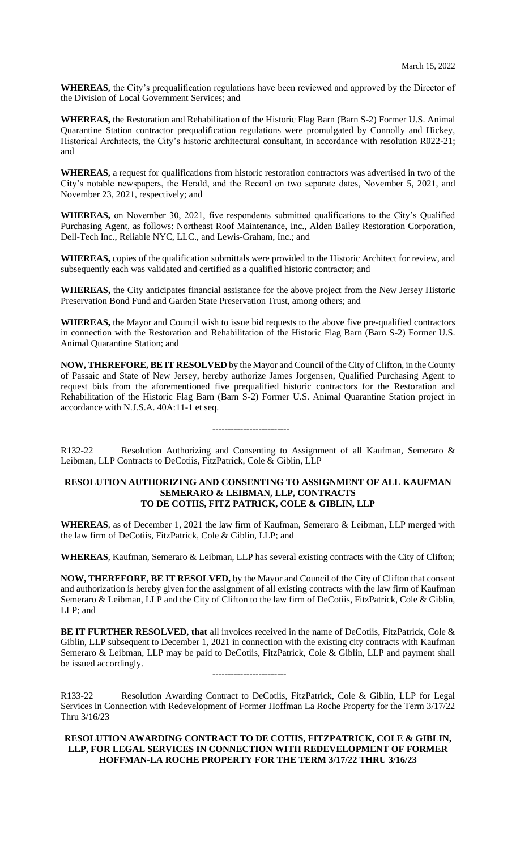**WHEREAS,** the City's prequalification regulations have been reviewed and approved by the Director of the Division of Local Government Services; and

**WHEREAS,** the Restoration and Rehabilitation of the Historic Flag Barn (Barn S-2) Former U.S. Animal Quarantine Station contractor prequalification regulations were promulgated by Connolly and Hickey, Historical Architects, the City's historic architectural consultant, in accordance with resolution R022-21; and

**WHEREAS,** a request for qualifications from historic restoration contractors was advertised in two of the City's notable newspapers, the Herald, and the Record on two separate dates, November 5, 2021, and November 23, 2021, respectively; and

**WHEREAS,** on November 30, 2021, five respondents submitted qualifications to the City's Qualified Purchasing Agent, as follows: Northeast Roof Maintenance, Inc., Alden Bailey Restoration Corporation, Dell-Tech Inc., Reliable NYC, LLC., and Lewis-Graham, Inc.; and

**WHEREAS,** copies of the qualification submittals were provided to the Historic Architect for review, and subsequently each was validated and certified as a qualified historic contractor; and

**WHEREAS,** the City anticipates financial assistance for the above project from the New Jersey Historic Preservation Bond Fund and Garden State Preservation Trust, among others; and

**WHEREAS,** the Mayor and Council wish to issue bid requests to the above five pre-qualified contractors in connection with the Restoration and Rehabilitation of the Historic Flag Barn (Barn S-2) Former U.S. Animal Quarantine Station; and

**NOW, THEREFORE, BE IT RESOLVED** by the Mayor and Council of the City of Clifton, in the County of Passaic and State of New Jersey, hereby authorize James Jorgensen, Qualified Purchasing Agent to request bids from the aforementioned five prequalified historic contractors for the Restoration and Rehabilitation of the Historic Flag Barn (Barn S-2) Former U.S. Animal Quarantine Station project in accordance with N.J.S.A. 40A:11-1 et seq.

R132-22 Resolution Authorizing and Consenting to Assignment of all Kaufman, Semeraro & Leibman, LLP Contracts to DeCotiis, FitzPatrick, Cole & Giblin, LLP

-------------------------

# **RESOLUTION AUTHORIZING AND CONSENTING TO ASSIGNMENT OF ALL KAUFMAN SEMERARO & LEIBMAN, LLP, CONTRACTS TO DE COTIIS, FITZ PATRICK, COLE & GIBLIN, LLP**

**WHEREAS**, as of December 1, 2021 the law firm of Kaufman, Semeraro & Leibman, LLP merged with the law firm of DeCotiis, FitzPatrick, Cole & Giblin, LLP; and

**WHEREAS**, Kaufman, Semeraro & Leibman, LLP has several existing contracts with the City of Clifton;

**NOW, THEREFORE, BE IT RESOLVED,** by the Mayor and Council of the City of Clifton that consent and authorization is hereby given for the assignment of all existing contracts with the law firm of Kaufman Semeraro & Leibman, LLP and the City of Clifton to the law firm of DeCotiis, FitzPatrick, Cole & Giblin, LLP; and

**BE IT FURTHER RESOLVED, that** all invoices received in the name of DeCotiis, FitzPatrick, Cole & Giblin, LLP subsequent to December 1, 2021 in connection with the existing city contracts with Kaufman Semeraro & Leibman, LLP may be paid to DeCotiis, FitzPatrick, Cole & Giblin, LLP and payment shall be issued accordingly.

------------------------

R133-22 Resolution Awarding Contract to DeCotiis, FitzPatrick, Cole & Giblin, LLP for Legal Services in Connection with Redevelopment of Former Hoffman La Roche Property for the Term 3/17/22 Thru 3/16/23

# **RESOLUTION AWARDING CONTRACT TO DE COTIIS, FITZPATRICK, COLE & GIBLIN, LLP, FOR LEGAL SERVICES IN CONNECTION WITH REDEVELOPMENT OF FORMER HOFFMAN-LA ROCHE PROPERTY FOR THE TERM 3/17/22 THRU 3/16/23**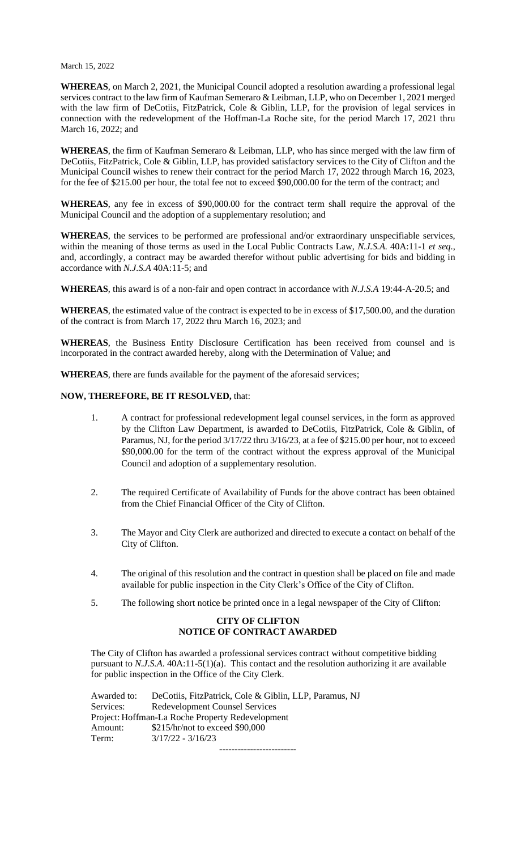**WHEREAS**, on March 2, 2021, the Municipal Council adopted a resolution awarding a professional legal services contract to the law firm of Kaufman Semeraro & Leibman, LLP, who on December 1, 2021 merged with the law firm of DeCotiis, FitzPatrick, Cole & Giblin, LLP, for the provision of legal services in connection with the redevelopment of the Hoffman-La Roche site, for the period March 17, 2021 thru March 16, 2022; and

**WHEREAS**, the firm of Kaufman Semeraro & Leibman, LLP, who has since merged with the law firm of DeCotiis, FitzPatrick, Cole & Giblin, LLP, has provided satisfactory services to the City of Clifton and the Municipal Council wishes to renew their contract for the period March 17, 2022 through March 16, 2023, for the fee of \$215.00 per hour, the total fee not to exceed \$90,000.00 for the term of the contract; and

**WHEREAS**, any fee in excess of \$90,000.00 for the contract term shall require the approval of the Municipal Council and the adoption of a supplementary resolution; and

**WHEREAS**, the services to be performed are professional and/or extraordinary unspecifiable services, within the meaning of those terms as used in the Local Public Contracts Law, *N.J.S.A.* 40A:11-1 *et seq*., and, accordingly, a contract may be awarded therefor without public advertising for bids and bidding in accordance with *N.J.S.A* 40A:11-5; and

**WHEREAS**, this award is of a non-fair and open contract in accordance with *N.J.S.A* 19:44-A-20.5; and

**WHEREAS**, the estimated value of the contract is expected to be in excess of \$17,500.00, and the duration of the contract is from March 17, 2022 thru March 16, 2023; and

**WHEREAS**, the Business Entity Disclosure Certification has been received from counsel and is incorporated in the contract awarded hereby, along with the Determination of Value; and

**WHEREAS**, there are funds available for the payment of the aforesaid services;

## **NOW, THEREFORE, BE IT RESOLVED,** that:

- 1. A contract for professional redevelopment legal counsel services, in the form as approved by the Clifton Law Department, is awarded to DeCotiis, FitzPatrick, Cole & Giblin, of Paramus, NJ, for the period 3/17/22 thru 3/16/23, at a fee of \$215.00 per hour, not to exceed \$90,000.00 for the term of the contract without the express approval of the Municipal Council and adoption of a supplementary resolution.
- 2. The required Certificate of Availability of Funds for the above contract has been obtained from the Chief Financial Officer of the City of Clifton.
- 3. The Mayor and City Clerk are authorized and directed to execute a contact on behalf of the City of Clifton.
- 4. The original of this resolution and the contract in question shall be placed on file and made available for public inspection in the City Clerk's Office of the City of Clifton.
- 5. The following short notice be printed once in a legal newspaper of the City of Clifton:

# **CITY OF CLIFTON NOTICE OF CONTRACT AWARDED**

The City of Clifton has awarded a professional services contract without competitive bidding pursuant to *N.J.S.A*. 40A:11-5(1)(a). This contact and the resolution authorizing it are available for public inspection in the Office of the City Clerk.

Awarded to: DeCotiis, FitzPatrick, Cole & Giblin, LLP, Paramus, NJ Services: Redevelopment Counsel Services Project: Hoffman-La Roche Property Redevelopment Amount: \$215/hr/not to exceed \$90,000 Term: 3/17/22 - 3/16/23 -------------------------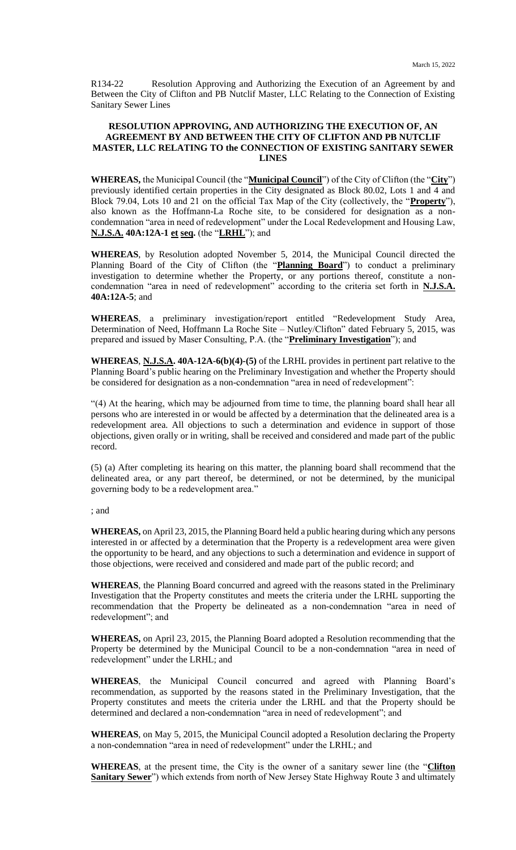R134-22 Resolution Approving and Authorizing the Execution of an Agreement by and Between the City of Clifton and PB Nutclif Master, LLC Relating to the Connection of Existing Sanitary Sewer Lines

## **RESOLUTION APPROVING, AND AUTHORIZING THE EXECUTION OF, AN AGREEMENT BY AND BETWEEN THE CITY OF CLIFTON AND PB NUTCLIF MASTER, LLC RELATING TO the CONNECTION OF EXISTING SANITARY SEWER LINES**

**WHEREAS,** the Municipal Council (the "**Municipal Council**") of the City of Clifton (the "**City**") previously identified certain properties in the City designated as Block 80.02, Lots 1 and 4 and Block 79.04, Lots 10 and 21 on the official Tax Map of the City (collectively, the "**Property**"), also known as the Hoffmann-La Roche site, to be considered for designation as a noncondemnation "area in need of redevelopment" under the Local Redevelopment and Housing Law, **N.J.S.A. 40A:12A-1 et seq.** (the "**LRHL**"); and

**WHEREAS**, by Resolution adopted November 5, 2014, the Municipal Council directed the Planning Board of the City of Clifton (the "**Planning Board**") to conduct a preliminary investigation to determine whether the Property, or any portions thereof, constitute a noncondemnation "area in need of redevelopment" according to the criteria set forth in **N.J.S.A. 40A:12A-5**; and

**WHEREAS**, a preliminary investigation/report entitled "Redevelopment Study Area, Determination of Need, Hoffmann La Roche Site – Nutley/Clifton" dated February 5, 2015, was prepared and issued by Maser Consulting, P.A. (the "**Preliminary Investigation**"); and

**WHEREAS**, **N.J.S.A. 40A-12A-6(b)(4)-(5)** of the LRHL provides in pertinent part relative to the Planning Board's public hearing on the Preliminary Investigation and whether the Property should be considered for designation as a non-condemnation "area in need of redevelopment":

"(4) At the hearing, which may be adjourned from time to time, the planning board shall hear all persons who are interested in or would be affected by a determination that the delineated area is a redevelopment area. All objections to such a determination and evidence in support of those objections, given orally or in writing, shall be received and considered and made part of the public record.

(5) (a) After completing its hearing on this matter, the planning board shall recommend that the delineated area, or any part thereof, be determined, or not be determined, by the municipal governing body to be a redevelopment area."

; and

**WHEREAS,** on April 23, 2015, the Planning Board held a public hearing during which any persons interested in or affected by a determination that the Property is a redevelopment area were given the opportunity to be heard, and any objections to such a determination and evidence in support of those objections, were received and considered and made part of the public record; and

**WHEREAS**, the Planning Board concurred and agreed with the reasons stated in the Preliminary Investigation that the Property constitutes and meets the criteria under the LRHL supporting the recommendation that the Property be delineated as a non-condemnation "area in need of redevelopment"; and

**WHEREAS,** on April 23, 2015, the Planning Board adopted a Resolution recommending that the Property be determined by the Municipal Council to be a non-condemnation "area in need of redevelopment" under the LRHL; and

**WHEREAS**, the Municipal Council concurred and agreed with Planning Board's recommendation, as supported by the reasons stated in the Preliminary Investigation, that the Property constitutes and meets the criteria under the LRHL and that the Property should be determined and declared a non-condemnation "area in need of redevelopment"; and

**WHEREAS**, on May 5, 2015, the Municipal Council adopted a Resolution declaring the Property a non-condemnation "area in need of redevelopment" under the LRHL; and

**WHEREAS**, at the present time, the City is the owner of a sanitary sewer line (the "**Clifton Sanitary Sewer**") which extends from north of New Jersey State Highway Route 3 and ultimately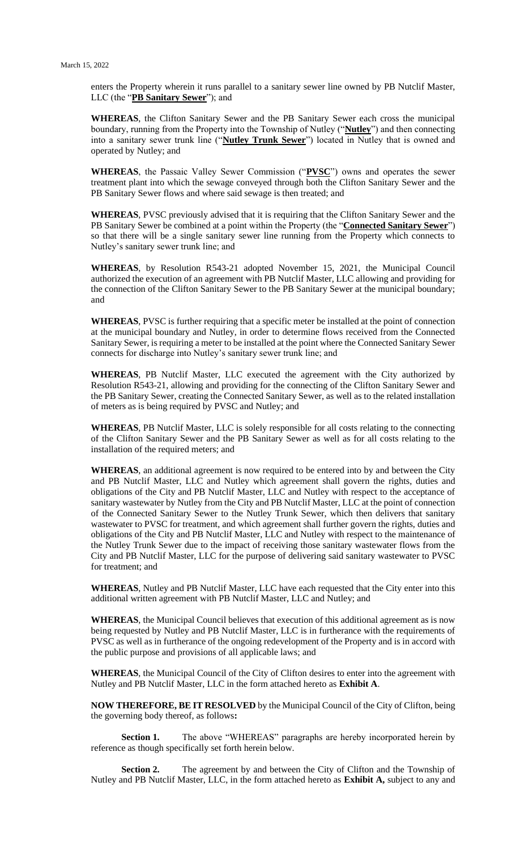enters the Property wherein it runs parallel to a sanitary sewer line owned by PB Nutclif Master, LLC (the "**PB Sanitary Sewer**"); and

**WHEREAS**, the Clifton Sanitary Sewer and the PB Sanitary Sewer each cross the municipal boundary, running from the Property into the Township of Nutley ("**Nutley**") and then connecting into a sanitary sewer trunk line ("**Nutley Trunk Sewer**") located in Nutley that is owned and operated by Nutley; and

**WHEREAS**, the Passaic Valley Sewer Commission ("**PVSC**") owns and operates the sewer treatment plant into which the sewage conveyed through both the Clifton Sanitary Sewer and the PB Sanitary Sewer flows and where said sewage is then treated; and

**WHEREAS**, PVSC previously advised that it is requiring that the Clifton Sanitary Sewer and the PB Sanitary Sewer be combined at a point within the Property (the "**Connected Sanitary Sewer**") so that there will be a single sanitary sewer line running from the Property which connects to Nutley's sanitary sewer trunk line; and

**WHEREAS**, by Resolution R543-21 adopted November 15, 2021, the Municipal Council authorized the execution of an agreement with PB Nutclif Master, LLC allowing and providing for the connection of the Clifton Sanitary Sewer to the PB Sanitary Sewer at the municipal boundary; and

**WHEREAS**, PVSC is further requiring that a specific meter be installed at the point of connection at the municipal boundary and Nutley, in order to determine flows received from the Connected Sanitary Sewer, is requiring a meter to be installed at the point where the Connected Sanitary Sewer connects for discharge into Nutley's sanitary sewer trunk line; and

**WHEREAS**, PB Nutclif Master, LLC executed the agreement with the City authorized by Resolution R543-21, allowing and providing for the connecting of the Clifton Sanitary Sewer and the PB Sanitary Sewer, creating the Connected Sanitary Sewer, as well as to the related installation of meters as is being required by PVSC and Nutley; and

**WHEREAS**, PB Nutclif Master, LLC is solely responsible for all costs relating to the connecting of the Clifton Sanitary Sewer and the PB Sanitary Sewer as well as for all costs relating to the installation of the required meters; and

**WHEREAS**, an additional agreement is now required to be entered into by and between the City and PB Nutclif Master, LLC and Nutley which agreement shall govern the rights, duties and obligations of the City and PB Nutclif Master, LLC and Nutley with respect to the acceptance of sanitary wastewater by Nutley from the City and PB Nutclif Master, LLC at the point of connection of the Connected Sanitary Sewer to the Nutley Trunk Sewer, which then delivers that sanitary wastewater to PVSC for treatment, and which agreement shall further govern the rights, duties and obligations of the City and PB Nutclif Master, LLC and Nutley with respect to the maintenance of the Nutley Trunk Sewer due to the impact of receiving those sanitary wastewater flows from the City and PB Nutclif Master, LLC for the purpose of delivering said sanitary wastewater to PVSC for treatment; and

**WHEREAS**, Nutley and PB Nutclif Master, LLC have each requested that the City enter into this additional written agreement with PB Nutclif Master, LLC and Nutley; and

**WHEREAS**, the Municipal Council believes that execution of this additional agreement as is now being requested by Nutley and PB Nutclif Master, LLC is in furtherance with the requirements of PVSC as well as in furtherance of the ongoing redevelopment of the Property and is in accord with the public purpose and provisions of all applicable laws; and

**WHEREAS**, the Municipal Council of the City of Clifton desires to enter into the agreement with Nutley and PB Nutclif Master, LLC in the form attached hereto as **Exhibit A**.

**NOW THEREFORE, BE IT RESOLVED** by the Municipal Council of the City of Clifton, being the governing body thereof, as follows**:**

**Section 1.** The above "WHEREAS" paragraphs are hereby incorporated herein by reference as though specifically set forth herein below.

**Section 2.** The agreement by and between the City of Clifton and the Township of Nutley and PB Nutclif Master, LLC, in the form attached hereto as **Exhibit A,** subject to any and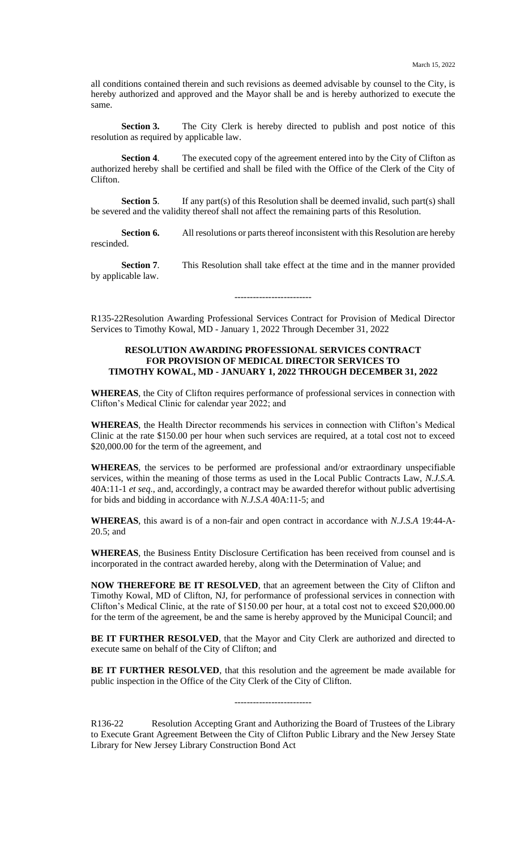all conditions contained therein and such revisions as deemed advisable by counsel to the City, is hereby authorized and approved and the Mayor shall be and is hereby authorized to execute the same.

**Section 3.** The City Clerk is hereby directed to publish and post notice of this resolution as required by applicable law.

**Section 4.** The executed copy of the agreement entered into by the City of Clifton as authorized hereby shall be certified and shall be filed with the Office of the Clerk of the City of Clifton.

**Section 5.** If any part(s) of this Resolution shall be deemed invalid, such part(s) shall be severed and the validity thereof shall not affect the remaining parts of this Resolution.

**Section 6.** All resolutions or parts thereof inconsistent with this Resolution are hereby rescinded.

**Section 7**. This Resolution shall take effect at the time and in the manner provided by applicable law.

-------------------------

R135-22Resolution Awarding Professional Services Contract for Provision of Medical Director Services to Timothy Kowal, MD - January 1, 2022 Through December 31, 2022

# **RESOLUTION AWARDING PROFESSIONAL SERVICES CONTRACT FOR PROVISION OF MEDICAL DIRECTOR SERVICES TO TIMOTHY KOWAL, MD - JANUARY 1, 2022 THROUGH DECEMBER 31, 2022**

**WHEREAS**, the City of Clifton requires performance of professional services in connection with Clifton's Medical Clinic for calendar year 2022; and

**WHEREAS**, the Health Director recommends his services in connection with Clifton's Medical Clinic at the rate \$150.00 per hour when such services are required, at a total cost not to exceed \$20,000.00 for the term of the agreement, and

**WHEREAS**, the services to be performed are professional and/or extraordinary unspecifiable services, within the meaning of those terms as used in the Local Public Contracts Law, *N.J.S.A.* 40A:11-1 *et seq*., and, accordingly, a contract may be awarded therefor without public advertising for bids and bidding in accordance with *N.J.S.A* 40A:11-5; and

**WHEREAS**, this award is of a non-fair and open contract in accordance with *N.J.S.A* 19:44-A-20.5; and

**WHEREAS**, the Business Entity Disclosure Certification has been received from counsel and is incorporated in the contract awarded hereby, along with the Determination of Value; and

**NOW THEREFORE BE IT RESOLVED**, that an agreement between the City of Clifton and Timothy Kowal, MD of Clifton, NJ, for performance of professional services in connection with Clifton's Medical Clinic, at the rate of \$150.00 per hour, at a total cost not to exceed \$20,000.00 for the term of the agreement, be and the same is hereby approved by the Municipal Council; and

**BE IT FURTHER RESOLVED**, that the Mayor and City Clerk are authorized and directed to execute same on behalf of the City of Clifton; and

**BE IT FURTHER RESOLVED**, that this resolution and the agreement be made available for public inspection in the Office of the City Clerk of the City of Clifton.

-------------------------

R136-22 Resolution Accepting Grant and Authorizing the Board of Trustees of the Library to Execute Grant Agreement Between the City of Clifton Public Library and the New Jersey State Library for New Jersey Library Construction Bond Act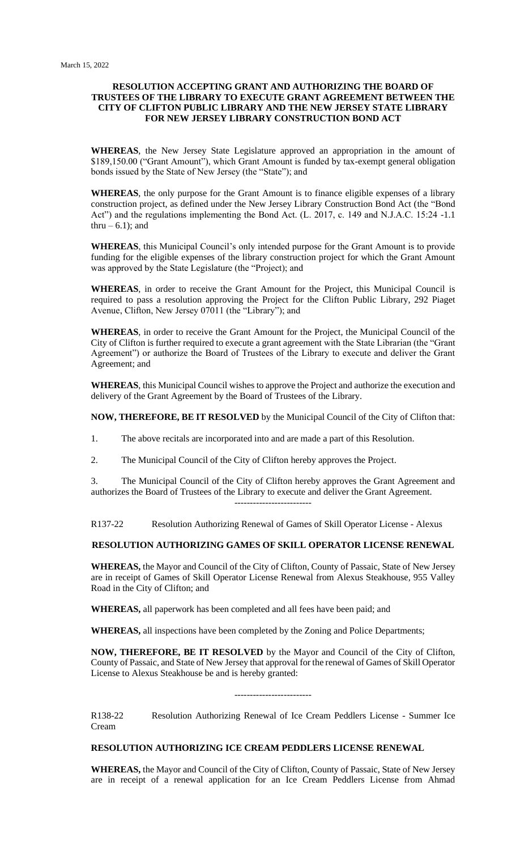## **RESOLUTION ACCEPTING GRANT AND AUTHORIZING THE BOARD OF TRUSTEES OF THE LIBRARY TO EXECUTE GRANT AGREEMENT BETWEEN THE CITY OF CLIFTON PUBLIC LIBRARY AND THE NEW JERSEY STATE LIBRARY FOR NEW JERSEY LIBRARY CONSTRUCTION BOND ACT**

**WHEREAS**, the New Jersey State Legislature approved an appropriation in the amount of \$189,150.00 ("Grant Amount"), which Grant Amount is funded by tax-exempt general obligation bonds issued by the State of New Jersey (the "State"); and

**WHEREAS**, the only purpose for the Grant Amount is to finance eligible expenses of a library construction project, as defined under the New Jersey Library Construction Bond Act (the "Bond Act") and the regulations implementing the Bond Act. (L. 2017, c. 149 and N.J.A.C. 15:24 -1.1 thru  $-6.1$ ; and

**WHEREAS**, this Municipal Council's only intended purpose for the Grant Amount is to provide funding for the eligible expenses of the library construction project for which the Grant Amount was approved by the State Legislature (the "Project); and

**WHEREAS**, in order to receive the Grant Amount for the Project, this Municipal Council is required to pass a resolution approving the Project for the Clifton Public Library, 292 Piaget Avenue, Clifton, New Jersey 07011 (the "Library"); and

**WHEREAS**, in order to receive the Grant Amount for the Project, the Municipal Council of the City of Clifton is further required to execute a grant agreement with the State Librarian (the "Grant Agreement") or authorize the Board of Trustees of the Library to execute and deliver the Grant Agreement; and

**WHEREAS**, this Municipal Council wishes to approve the Project and authorize the execution and delivery of the Grant Agreement by the Board of Trustees of the Library.

**NOW, THEREFORE, BE IT RESOLVED** by the Municipal Council of the City of Clifton that:

- 1. The above recitals are incorporated into and are made a part of this Resolution.
- 2. The Municipal Council of the City of Clifton hereby approves the Project.

3. The Municipal Council of the City of Clifton hereby approves the Grant Agreement and authorizes the Board of Trustees of the Library to execute and deliver the Grant Agreement. -------------------------

R137-22 Resolution Authorizing Renewal of Games of Skill Operator License - Alexus

# **RESOLUTION AUTHORIZING GAMES OF SKILL OPERATOR LICENSE RENEWAL**

**WHEREAS,** the Mayor and Council of the City of Clifton, County of Passaic, State of New Jersey are in receipt of Games of Skill Operator License Renewal from Alexus Steakhouse, 955 Valley Road in the City of Clifton; and

**WHEREAS,** all paperwork has been completed and all fees have been paid; and

**WHEREAS,** all inspections have been completed by the Zoning and Police Departments;

**NOW, THEREFORE, BE IT RESOLVED** by the Mayor and Council of the City of Clifton, County of Passaic, and State of New Jersey that approval for the renewal of Games of Skill Operator License to Alexus Steakhouse be and is hereby granted:

-------------------------

R138-22 Resolution Authorizing Renewal of Ice Cream Peddlers License - Summer Ice Cream

# **RESOLUTION AUTHORIZING ICE CREAM PEDDLERS LICENSE RENEWAL**

**WHEREAS,** the Mayor and Council of the City of Clifton, County of Passaic, State of New Jersey are in receipt of a renewal application for an Ice Cream Peddlers License from Ahmad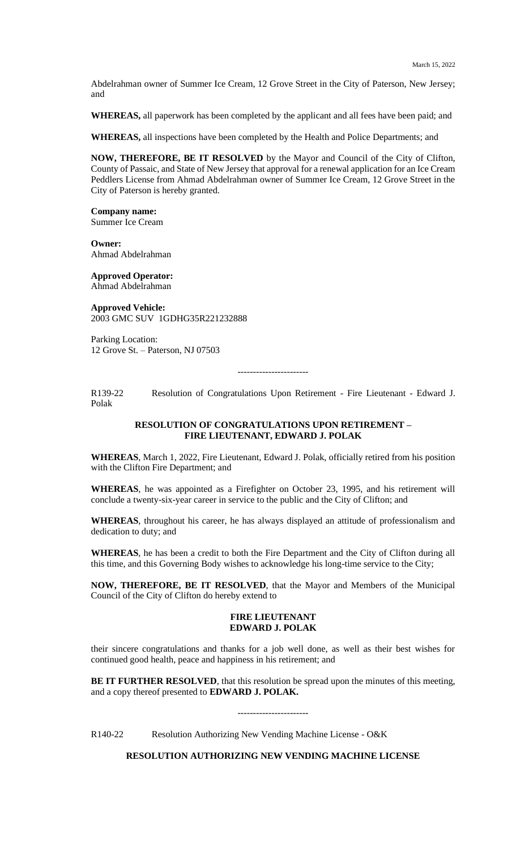Abdelrahman owner of Summer Ice Cream, 12 Grove Street in the City of Paterson, New Jersey; and

**WHEREAS,** all paperwork has been completed by the applicant and all fees have been paid; and

**WHEREAS,** all inspections have been completed by the Health and Police Departments; and

**NOW, THEREFORE, BE IT RESOLVED** by the Mayor and Council of the City of Clifton, County of Passaic, and State of New Jersey that approval for a renewal application for an Ice Cream Peddlers License from Ahmad Abdelrahman owner of Summer Ice Cream, 12 Grove Street in the City of Paterson is hereby granted.

**Company name:** Summer Ice Cream

**Owner:** Ahmad Abdelrahman

**Approved Operator:**  Ahmad Abdelrahman

**Approved Vehicle:** 2003 GMC SUV 1GDHG35R221232888

Parking Location: 12 Grove St. – Paterson, NJ 07503

-----------------------

R139-22 Resolution of Congratulations Upon Retirement - Fire Lieutenant - Edward J. Polak

### **RESOLUTION OF CONGRATULATIONS UPON RETIREMENT – FIRE LIEUTENANT, EDWARD J. POLAK**

**WHEREAS**, March 1, 2022, Fire Lieutenant, Edward J. Polak, officially retired from his position with the Clifton Fire Department; and

**WHEREAS**, he was appointed as a Firefighter on October 23, 1995, and his retirement will conclude a twenty-six-year career in service to the public and the City of Clifton; and

**WHEREAS**, throughout his career, he has always displayed an attitude of professionalism and dedication to duty; and

**WHEREAS**, he has been a credit to both the Fire Department and the City of Clifton during all this time, and this Governing Body wishes to acknowledge his long-time service to the City;

**NOW, THEREFORE, BE IT RESOLVED**, that the Mayor and Members of the Municipal Council of the City of Clifton do hereby extend to

#### **FIRE LIEUTENANT EDWARD J. POLAK**

their sincere congratulations and thanks for a job well done, as well as their best wishes for continued good health, peace and happiness in his retirement; and

**BE IT FURTHER RESOLVED**, that this resolution be spread upon the minutes of this meeting, and a copy thereof presented to **EDWARD J. POLAK.**

-----------------------

R140-22 Resolution Authorizing New Vending Machine License - O&K

# **RESOLUTION AUTHORIZING NEW VENDING MACHINE LICENSE**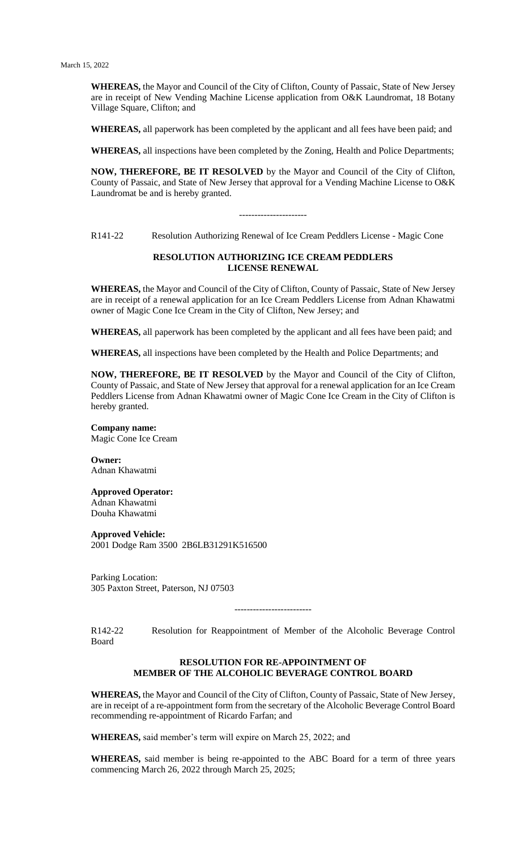**WHEREAS,** the Mayor and Council of the City of Clifton, County of Passaic, State of New Jersey are in receipt of New Vending Machine License application from O&K Laundromat, 18 Botany Village Square, Clifton; and

**WHEREAS,** all paperwork has been completed by the applicant and all fees have been paid; and

**WHEREAS,** all inspections have been completed by the Zoning, Health and Police Departments;

**NOW, THEREFORE, BE IT RESOLVED** by the Mayor and Council of the City of Clifton, County of Passaic, and State of New Jersey that approval for a Vending Machine License to O&K Laundromat be and is hereby granted.

----------------------

R141-22 Resolution Authorizing Renewal of Ice Cream Peddlers License - Magic Cone

### **RESOLUTION AUTHORIZING ICE CREAM PEDDLERS LICENSE RENEWAL**

**WHEREAS,** the Mayor and Council of the City of Clifton, County of Passaic, State of New Jersey are in receipt of a renewal application for an Ice Cream Peddlers License from Adnan Khawatmi owner of Magic Cone Ice Cream in the City of Clifton, New Jersey; and

**WHEREAS,** all paperwork has been completed by the applicant and all fees have been paid; and

**WHEREAS,** all inspections have been completed by the Health and Police Departments; and

**NOW, THEREFORE, BE IT RESOLVED** by the Mayor and Council of the City of Clifton, County of Passaic, and State of New Jersey that approval for a renewal application for an Ice Cream Peddlers License from Adnan Khawatmi owner of Magic Cone Ice Cream in the City of Clifton is hereby granted.

**Company name:** Magic Cone Ice Cream

**Owner:** Adnan Khawatmi

**Approved Operator:**  Adnan Khawatmi Douha Khawatmi

**Approved Vehicle:** 2001 Dodge Ram 3500 2B6LB31291K516500

Parking Location: 305 Paxton Street, Paterson, NJ 07503

-------------------------

R142-22 Resolution for Reappointment of Member of the Alcoholic Beverage Control Board

## **RESOLUTION FOR RE-APPOINTMENT OF MEMBER OF THE ALCOHOLIC BEVERAGE CONTROL BOARD**

**WHEREAS,** the Mayor and Council of the City of Clifton, County of Passaic, State of New Jersey, are in receipt of a re-appointment form from the secretary of the Alcoholic Beverage Control Board recommending re-appointment of Ricardo Farfan; and

**WHEREAS,** said member's term will expire on March 25, 2022; and

**WHEREAS,** said member is being re-appointed to the ABC Board for a term of three years commencing March 26, 2022 through March 25, 2025;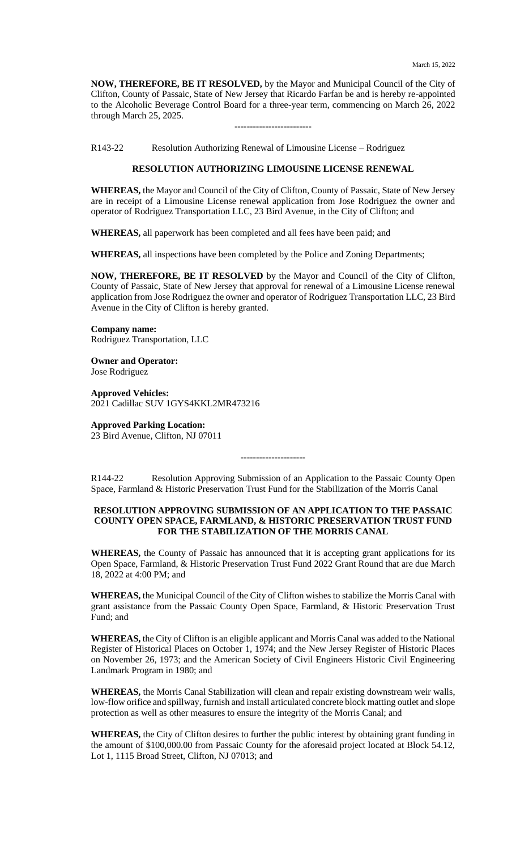**NOW, THEREFORE, BE IT RESOLVED,** by the Mayor and Municipal Council of the City of Clifton, County of Passaic, State of New Jersey that Ricardo Farfan be and is hereby re-appointed to the Alcoholic Beverage Control Board for a three-year term, commencing on March 26, 2022 through March 25, 2025.

-------------------------

R143-22 Resolution Authorizing Renewal of Limousine License – Rodriguez

# **RESOLUTION AUTHORIZING LIMOUSINE LICENSE RENEWAL**

**WHEREAS,** the Mayor and Council of the City of Clifton, County of Passaic, State of New Jersey are in receipt of a Limousine License renewal application from Jose Rodriguez the owner and operator of Rodriguez Transportation LLC, 23 Bird Avenue, in the City of Clifton; and

**WHEREAS,** all paperwork has been completed and all fees have been paid; and

**WHEREAS,** all inspections have been completed by the Police and Zoning Departments;

**NOW, THEREFORE, BE IT RESOLVED** by the Mayor and Council of the City of Clifton, County of Passaic, State of New Jersey that approval for renewal of a Limousine License renewal application from Jose Rodriguez the owner and operator of Rodriguez Transportation LLC, 23 Bird Avenue in the City of Clifton is hereby granted.

**Company name:** Rodriguez Transportation, LLC

**Owner and Operator:** Jose Rodriguez

**Approved Vehicles:** 2021 Cadillac SUV 1GYS4KKL2MR473216

#### **Approved Parking Location:**

23 Bird Avenue, Clifton, NJ 07011

R144-22 Resolution Approving Submission of an Application to the Passaic County Open Space, Farmland & Historic Preservation Trust Fund for the Stabilization of the Morris Canal

---------------------

## **RESOLUTION APPROVING SUBMISSION OF AN APPLICATION TO THE PASSAIC COUNTY OPEN SPACE, FARMLAND, & HISTORIC PRESERVATION TRUST FUND FOR THE STABILIZATION OF THE MORRIS CANAL**

**WHEREAS,** the County of Passaic has announced that it is accepting grant applications for its Open Space, Farmland, & Historic Preservation Trust Fund 2022 Grant Round that are due March 18, 2022 at 4:00 PM; and

**WHEREAS,** the Municipal Council of the City of Clifton wishes to stabilize the Morris Canal with grant assistance from the Passaic County Open Space, Farmland, & Historic Preservation Trust Fund; and

**WHEREAS,** the City of Clifton is an eligible applicant and Morris Canal was added to the National Register of Historical Places on October 1, 1974; and the New Jersey Register of Historic Places on November 26, 1973; and the American Society of Civil Engineers Historic Civil Engineering Landmark Program in 1980; and

**WHEREAS,** the Morris Canal Stabilization will clean and repair existing downstream weir walls, low-flow orifice and spillway, furnish and install articulated concrete block matting outlet and slope protection as well as other measures to ensure the integrity of the Morris Canal; and

**WHEREAS,** the City of Clifton desires to further the public interest by obtaining grant funding in the amount of \$100,000.00 from Passaic County for the aforesaid project located at Block 54.12, Lot 1, 1115 Broad Street, Clifton, NJ 07013; and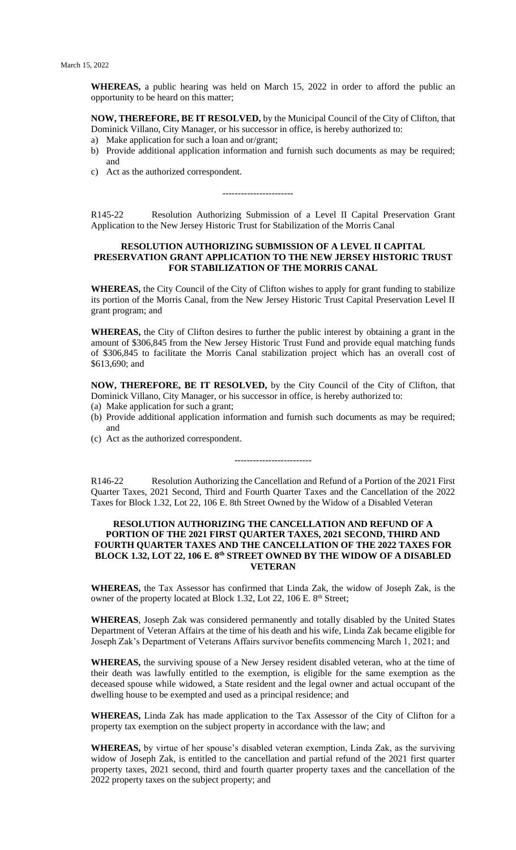**WHEREAS,** a public hearing was held on March 15, 2022 in order to afford the public an opportunity to be heard on this matter;

**NOW, THEREFORE, BE IT RESOLVED,** by the Municipal Council of the City of Clifton, that Dominick Villano, City Manager, or his successor in office, is hereby authorized to:

- a) Make application for such a loan and or/grant;
- b) Provide additional application information and furnish such documents as may be required; and
- c) Act as the authorized correspondent.

R145-22 Resolution Authorizing Submission of a Level II Capital Preservation Grant Application to the New Jersey Historic Trust for Stabilization of the Morris Canal

-----------------------

### **RESOLUTION AUTHORIZING SUBMISSION OF A LEVEL II CAPITAL PRESERVATION GRANT APPLICATION TO THE NEW JERSEY HISTORIC TRUST FOR STABILIZATION OF THE MORRIS CANAL**

**WHEREAS,** the City Council of the City of Clifton wishes to apply for grant funding to stabilize its portion of the Morris Canal, from the New Jersey Historic Trust Capital Preservation Level II grant program; and

**WHEREAS,** the City of Clifton desires to further the public interest by obtaining a grant in the amount of \$306,845 from the New Jersey Historic Trust Fund and provide equal matching funds of \$306,845 to facilitate the Morris Canal stabilization project which has an overall cost of \$613,690; and

**NOW, THEREFORE, BE IT RESOLVED,** by the City Council of the City of Clifton, that Dominick Villano, City Manager, or his successor in office, is hereby authorized to:

- (a) Make application for such a grant;
- (b) Provide additional application information and furnish such documents as may be required; and
- (c) Act as the authorized correspondent.

R146-22 Resolution Authorizing the Cancellation and Refund of a Portion of the 2021 First Quarter Taxes, 2021 Second, Third and Fourth Quarter Taxes and the Cancellation of the 2022 Taxes for Block 1.32, Lot 22, 106 E. 8th Street Owned by the Widow of a Disabled Veteran

-------------------------

### **RESOLUTION AUTHORIZING THE CANCELLATION AND REFUND OF A PORTION OF THE 2021 FIRST QUARTER TAXES, 2021 SECOND, THIRD AND FOURTH QUARTER TAXES AND THE CANCELLATION OF THE 2022 TAXES FOR BLOCK 1.32, LOT 22, 106 E. 8th STREET OWNED BY THE WIDOW OF A DISABLED VETERAN**

**WHEREAS,** the Tax Assessor has confirmed that Linda Zak, the widow of Joseph Zak, is the owner of the property located at Block 1.32, Lot 22, 106 E. 8<sup>th</sup> Street;

**WHEREAS**, Joseph Zak was considered permanently and totally disabled by the United States Department of Veteran Affairs at the time of his death and his wife, Linda Zak became eligible for Joseph Zak's Department of Veterans Affairs survivor benefits commencing March 1, 2021; and

**WHEREAS,** the surviving spouse of a New Jersey resident disabled veteran, who at the time of their death was lawfully entitled to the exemption, is eligible for the same exemption as the deceased spouse while widowed, a State resident and the legal owner and actual occupant of the dwelling house to be exempted and used as a principal residence; and

**WHEREAS,** Linda Zak has made application to the Tax Assessor of the City of Clifton for a property tax exemption on the subject property in accordance with the law; and

**WHEREAS,** by virtue of her spouse's disabled veteran exemption, Linda Zak, as the surviving widow of Joseph Zak, is entitled to the cancellation and partial refund of the 2021 first quarter property taxes, 2021 second, third and fourth quarter property taxes and the cancellation of the 2022 property taxes on the subject property; and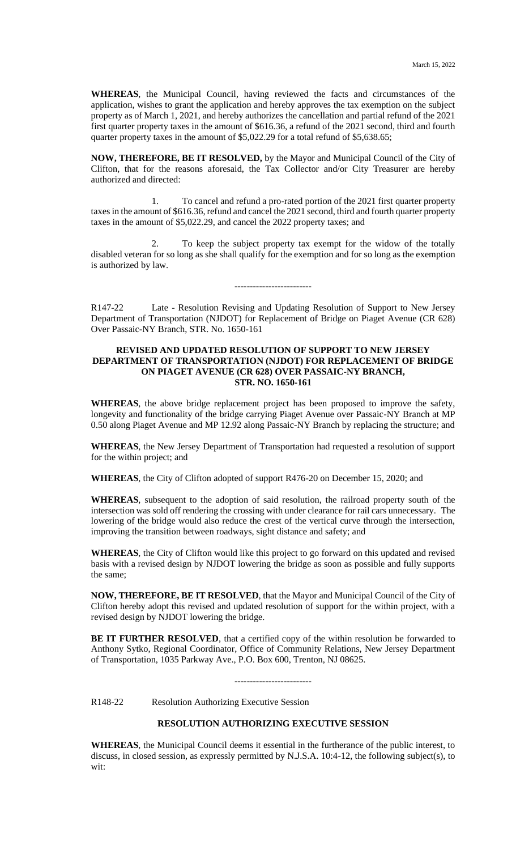**WHEREAS**, the Municipal Council, having reviewed the facts and circumstances of the application, wishes to grant the application and hereby approves the tax exemption on the subject property as of March 1, 2021, and hereby authorizes the cancellation and partial refund of the 2021 first quarter property taxes in the amount of \$616.36, a refund of the 2021 second, third and fourth quarter property taxes in the amount of \$5,022.29 for a total refund of \$5,638.65;

**NOW, THEREFORE, BE IT RESOLVED,** by the Mayor and Municipal Council of the City of Clifton, that for the reasons aforesaid, the Tax Collector and/or City Treasurer are hereby authorized and directed:

1. To cancel and refund a pro-rated portion of the 2021 first quarter property taxes in the amount of \$616.36, refund and cancel the 2021 second, third and fourth quarter property taxes in the amount of \$5,022.29, and cancel the 2022 property taxes; and

2. To keep the subject property tax exempt for the widow of the totally disabled veteran for so long as she shall qualify for the exemption and for so long as the exemption is authorized by law.

-------------------------

R147-22 Late - Resolution Revising and Updating Resolution of Support to New Jersey Department of Transportation (NJDOT) for Replacement of Bridge on Piaget Avenue (CR 628) Over Passaic-NY Branch, STR. No. 1650-161

## **REVISED AND UPDATED RESOLUTION OF SUPPORT TO NEW JERSEY DEPARTMENT OF TRANSPORTATION (NJDOT) FOR REPLACEMENT OF BRIDGE ON PIAGET AVENUE (CR 628) OVER PASSAIC-NY BRANCH, STR. NO. 1650-161**

**WHEREAS**, the above bridge replacement project has been proposed to improve the safety, longevity and functionality of the bridge carrying Piaget Avenue over Passaic-NY Branch at MP 0.50 along Piaget Avenue and MP 12.92 along Passaic-NY Branch by replacing the structure; and

**WHEREAS**, the New Jersey Department of Transportation had requested a resolution of support for the within project; and

**WHEREAS**, the City of Clifton adopted of support R476-20 on December 15, 2020; and

**WHEREAS**, subsequent to the adoption of said resolution, the railroad property south of the intersection was sold off rendering the crossing with under clearance for rail cars unnecessary. The lowering of the bridge would also reduce the crest of the vertical curve through the intersection, improving the transition between roadways, sight distance and safety; and

**WHEREAS**, the City of Clifton would like this project to go forward on this updated and revised basis with a revised design by NJDOT lowering the bridge as soon as possible and fully supports the same;

**NOW, THEREFORE, BE IT RESOLVED**, that the Mayor and Municipal Council of the City of Clifton hereby adopt this revised and updated resolution of support for the within project, with a revised design by NJDOT lowering the bridge.

BE IT FURTHER RESOLVED, that a certified copy of the within resolution be forwarded to Anthony Sytko, Regional Coordinator, Office of Community Relations, New Jersey Department of Transportation, 1035 Parkway Ave., P.O. Box 600, Trenton, NJ 08625.

-------------------------

R148-22 Resolution Authorizing Executive Session

# **RESOLUTION AUTHORIZING EXECUTIVE SESSION**

**WHEREAS**, the Municipal Council deems it essential in the furtherance of the public interest, to discuss, in closed session, as expressly permitted by N.J.S.A. 10:4-12, the following subject(s), to wit: